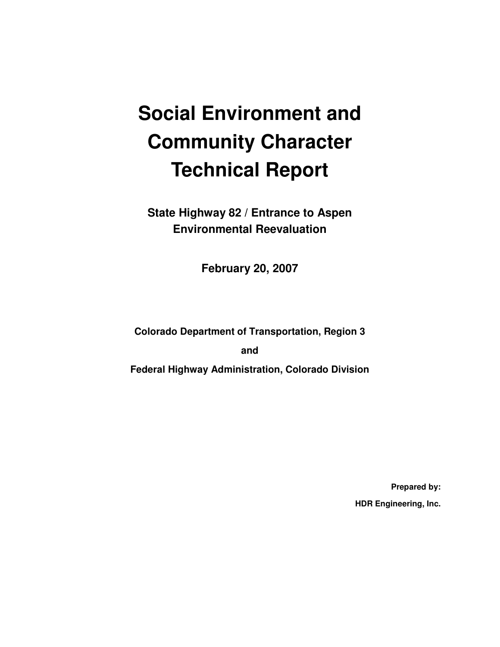# **Social Environment and Community Character Technical Report**

**State Highway 82 / Entrance to Aspen Environmental Reevaluation**

**February 20, 2007** 

**Colorado Department of Transportation, Region 3** 

**and** 

**Federal Highway Administration, Colorado Division** 

**Prepared by: HDR Engineering, Inc.**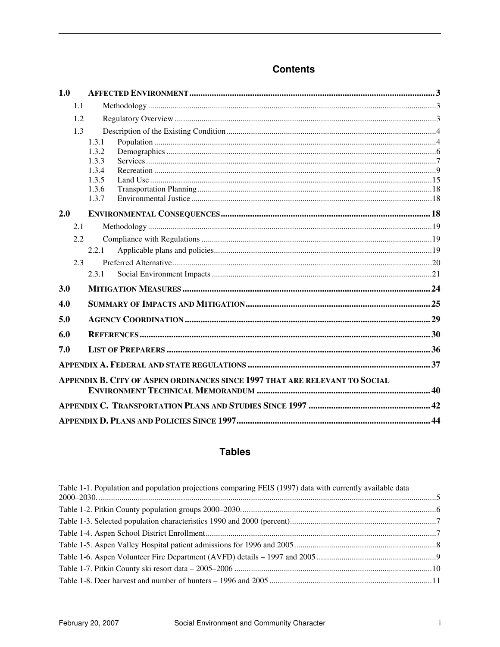### **Contents**

| 1.0 |     |                                                                             |  |  |  |
|-----|-----|-----------------------------------------------------------------------------|--|--|--|
|     | 1.1 |                                                                             |  |  |  |
|     | 1.2 |                                                                             |  |  |  |
|     | 1.3 |                                                                             |  |  |  |
|     |     | 1.3.1                                                                       |  |  |  |
|     |     | 1.3.2                                                                       |  |  |  |
|     |     | 1.3.3                                                                       |  |  |  |
|     |     | 1.3.4                                                                       |  |  |  |
|     |     | 1.3.5                                                                       |  |  |  |
|     |     | 1.3.6                                                                       |  |  |  |
|     |     | 1.3.7                                                                       |  |  |  |
| 2.0 |     |                                                                             |  |  |  |
|     | 2.1 |                                                                             |  |  |  |
|     | 2.2 |                                                                             |  |  |  |
|     |     | 2.2.1                                                                       |  |  |  |
|     | 2.3 |                                                                             |  |  |  |
|     |     | 2.3.1                                                                       |  |  |  |
| 3.0 |     |                                                                             |  |  |  |
| 4.0 |     |                                                                             |  |  |  |
| 5.0 |     |                                                                             |  |  |  |
| 6.0 |     |                                                                             |  |  |  |
| 7.0 |     |                                                                             |  |  |  |
|     |     |                                                                             |  |  |  |
|     |     | APPENDIX B. CITY OF ASPEN ORDINANCES SINCE 1997 THAT ARE RELEVANT TO SOCIAL |  |  |  |
|     |     |                                                                             |  |  |  |
|     |     |                                                                             |  |  |  |
|     |     |                                                                             |  |  |  |

### **Tables**

| Table 1-1. Population and population projections comparing FEIS (1997) data with currently available data |  |
|-----------------------------------------------------------------------------------------------------------|--|
|                                                                                                           |  |
|                                                                                                           |  |
|                                                                                                           |  |
|                                                                                                           |  |
|                                                                                                           |  |
|                                                                                                           |  |
|                                                                                                           |  |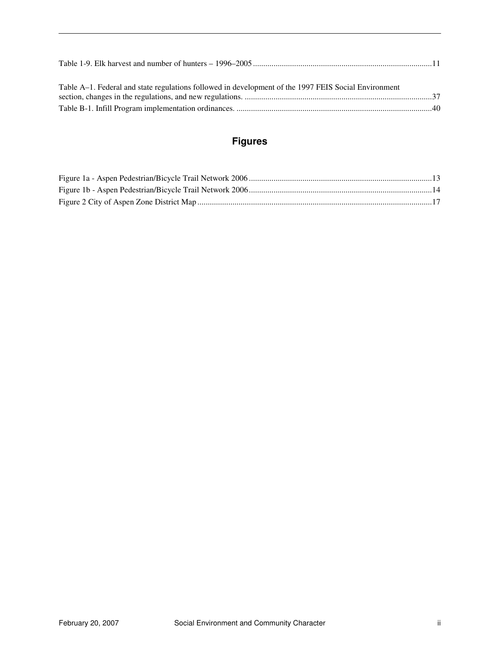| Table A–1. Federal and state regulations followed in development of the 1997 FEIS Social Environment |  |
|------------------------------------------------------------------------------------------------------|--|
|                                                                                                      |  |
|                                                                                                      |  |

### **Figures**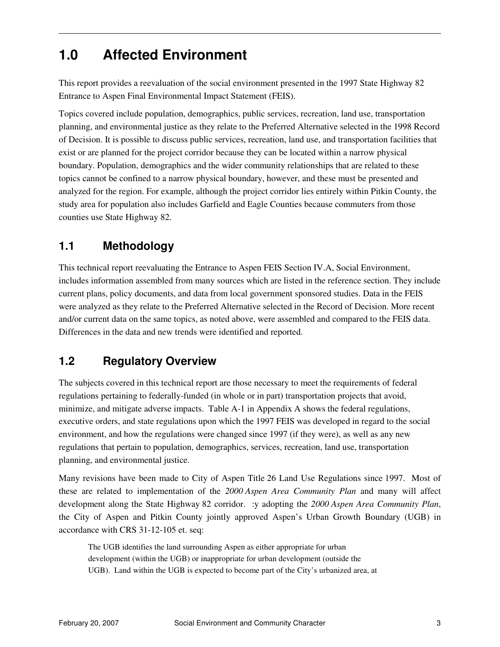# **1.0 Affected Environment**

This report provides a reevaluation of the social environment presented in the 1997 State Highway 82 Entrance to Aspen Final Environmental Impact Statement (FEIS).

Topics covered include population, demographics, public services, recreation, land use, transportation planning, and environmental justice as they relate to the Preferred Alternative selected in the 1998 Record of Decision. It is possible to discuss public services, recreation, land use, and transportation facilities that exist or are planned for the project corridor because they can be located within a narrow physical boundary. Population, demographics and the wider community relationships that are related to these topics cannot be confined to a narrow physical boundary, however, and these must be presented and analyzed for the region. For example, although the project corridor lies entirely within Pitkin County, the study area for population also includes Garfield and Eagle Counties because commuters from those counties use State Highway 82.

### **1.1 Methodology**

This technical report reevaluating the Entrance to Aspen FEIS Section IV.A, Social Environment, includes information assembled from many sources which are listed in the reference section. They include current plans, policy documents, and data from local government sponsored studies. Data in the FEIS were analyzed as they relate to the Preferred Alternative selected in the Record of Decision. More recent and/or current data on the same topics, as noted above, were assembled and compared to the FEIS data. Differences in the data and new trends were identified and reported.

## **1.2 Regulatory Overview**

The subjects covered in this technical report are those necessary to meet the requirements of federal regulations pertaining to federally-funded (in whole or in part) transportation projects that avoid, minimize, and mitigate adverse impacts. Table A-1 in Appendix A shows the federal regulations, executive orders, and state regulations upon which the 1997 FEIS was developed in regard to the social environment, and how the regulations were changed since 1997 (if they were), as well as any new regulations that pertain to population, demographics, services, recreation, land use, transportation planning, and environmental justice.

Many revisions have been made to City of Aspen Title 26 Land Use Regulations since 1997. Most of these are related to implementation of the *2000 Aspen Area Community Plan* and many will affect development along the State Highway 82 corridor. :y adopting the *2000 Aspen Area Community Plan*, the City of Aspen and Pitkin County jointly approved Aspen's Urban Growth Boundary (UGB) in accordance with CRS 31-12-105 et. seq:

The UGB identifies the land surrounding Aspen as either appropriate for urban development (within the UGB) or inappropriate for urban development (outside the UGB). Land within the UGB is expected to become part of the City's urbanized area, at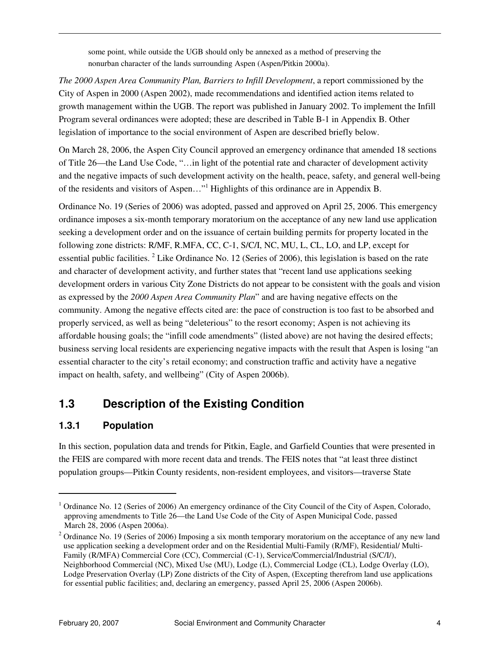some point, while outside the UGB should only be annexed as a method of preserving the nonurban character of the lands surrounding Aspen (Aspen/Pitkin 2000a).

*The 2000 Aspen Area Community Plan, Barriers to Infill Development*, a report commissioned by the City of Aspen in 2000 (Aspen 2002), made recommendations and identified action items related to growth management within the UGB. The report was published in January 2002. To implement the Infill Program several ordinances were adopted; these are described in Table B-1 in Appendix B. Other legislation of importance to the social environment of Aspen are described briefly below.

On March 28, 2006, the Aspen City Council approved an emergency ordinance that amended 18 sections of Title 26—the Land Use Code, "…in light of the potential rate and character of development activity and the negative impacts of such development activity on the health, peace, safety, and general well-being of the residents and visitors of Aspen..."<sup>1</sup> Highlights of this ordinance are in Appendix B.

Ordinance No. 19 (Series of 2006) was adopted, passed and approved on April 25, 2006. This emergency ordinance imposes a six-month temporary moratorium on the acceptance of any new land use application seeking a development order and on the issuance of certain building permits for property located in the following zone districts: R/MF, R.MFA, CC, C-1, S/C/I, NC, MU, L, CL, LO, and LP, except for essential public facilities. <sup>2</sup> Like Ordinance No. 12 (Series of 2006), this legislation is based on the rate and character of development activity, and further states that "recent land use applications seeking development orders in various City Zone Districts do not appear to be consistent with the goals and vision as expressed by the *2000 Aspen Area Community Plan*" and are having negative effects on the community. Among the negative effects cited are: the pace of construction is too fast to be absorbed and properly serviced, as well as being "deleterious" to the resort economy; Aspen is not achieving its affordable housing goals; the "infill code amendments" (listed above) are not having the desired effects; business serving local residents are experiencing negative impacts with the result that Aspen is losing "an essential character to the city's retail economy; and construction traffic and activity have a negative impact on health, safety, and wellbeing" (City of Aspen 2006b).

### **1.3 Description of the Existing Condition**

#### **1.3.1 Population**

In this section, population data and trends for Pitkin, Eagle, and Garfield Counties that were presented in the FEIS are compared with more recent data and trends. The FEIS notes that "at least three distinct population groups—Pitkin County residents, non-resident employees, and visitors—traverse State

 $\overline{a}$ 

<sup>&</sup>lt;sup>1</sup> Ordinance No. 12 (Series of 2006) An emergency ordinance of the City Council of the City of Aspen, Colorado, approving amendments to Title 26—the Land Use Code of the City of Aspen Municipal Code, passed March 28, 2006 (Aspen 2006a).

 $2$  Ordinance No. 19 (Series of 2006) Imposing a six month temporary moratorium on the acceptance of any new land use application seeking a development order and on the Residential Multi-Family (R/MF), Residential/ Multi-Family (R/MFA) Commercial Core (CC), Commercial (C-1), Service/Commercial/Industrial (S/C/I/), Neighborhood Commercial (NC), Mixed Use (MU), Lodge (L), Commercial Lodge (CL), Lodge Overlay (LO), Lodge Preservation Overlay (LP) Zone districts of the City of Aspen, (Excepting therefrom land use applications for essential public facilities; and, declaring an emergency, passed April 25, 2006 (Aspen 2006b).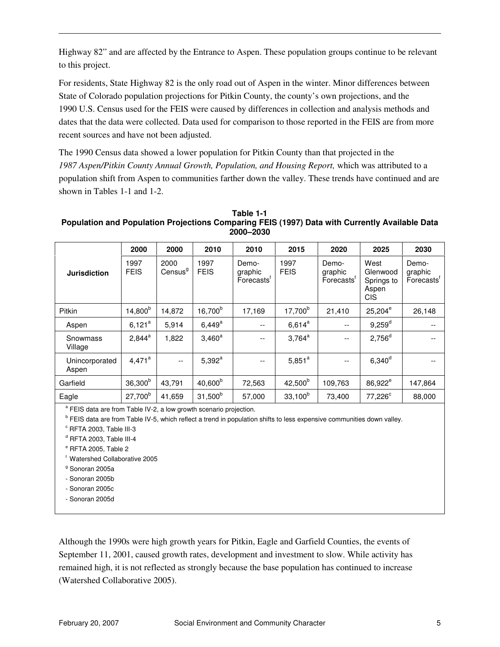Highway 82" and are affected by the Entrance to Aspen. These population groups continue to be relevant to this project.

For residents, State Highway 82 is the only road out of Aspen in the winter. Minor differences between State of Colorado population projections for Pitkin County, the county's own projections, and the 1990 U.S. Census used for the FEIS were caused by differences in collection and analysis methods and dates that the data were collected. Data used for comparison to those reported in the FEIS are from more recent sources and have not been adjusted.

The 1990 Census data showed a lower population for Pitkin County than that projected in the 1987 Aspen/Pitkin County Annual Growth, Population, and Housing Report, which was attributed to a population shift from Aspen to communities farther down the valley. These trends have continued and are shown in Tables 1-1 and 1-2.

**Table 1-1 Population and Population Projections Comparing FEIS (1997) Data with Currently Available Data 2000–2030** 

|                         | 2000                | 2000                        | 2010                | 2010                          | 2015                | 2020                           | 2025                                                  | 2030                           |
|-------------------------|---------------------|-----------------------------|---------------------|-------------------------------|---------------------|--------------------------------|-------------------------------------------------------|--------------------------------|
| <b>Jurisdiction</b>     | 1997<br><b>FEIS</b> | 2000<br>Census <sup>g</sup> | 1997<br><b>FEIS</b> | Demo-<br>graphic<br>Forecasts | 1997<br><b>FEIS</b> | Demo-<br>graphic<br>Forecasts' | West<br>Glenwood<br>Springs to<br>Aspen<br><b>CIS</b> | Demo-<br>graphic<br>Forecasts' |
| Pitkin                  | $14,800^{b}$        | 14.872                      | 16,700 <sup>b</sup> | 17,169                        | 17,700 <sup>b</sup> | 21,410                         | $25,204^e$                                            | 26,148                         |
| Aspen                   | $6,121^a$           | 5,914                       | $6,449^{\rm a}$     | $- -$                         | $6,614^a$           | $- -$                          | $9,259^d$                                             |                                |
| Snowmass<br>Village     | $2,844^a$           | 1,822                       | $3,460^a$           | $-$                           | $3,764^a$           | $\overline{\phantom{a}}$       | $2,756^d$                                             |                                |
| Unincorporated<br>Aspen | $4,471^a$           | $-$                         | $5,392^a$           | $-$                           | $5,851^a$           | $\overline{\phantom{a}}$       | $6,340^d$                                             |                                |
| Garfield                | $36,300^{b}$        | 43,791                      | $40,600^{b}$        | 72,563                        | $42,500^{b}$        | 109,763                        | 86,922 <sup>e</sup>                                   | 147,864                        |
| Eagle                   | $27,700^b$          | 41,659                      | $31,500^b$          | 57,000                        | $33,100^{b}$        | 73,400                         | $77,226^c$                                            | 88,000                         |

<sup>a</sup> FEIS data are from Table IV-2, a low growth scenario projection.

<sup>b</sup> FEIS data are from Table IV-5, which reflect a trend in population shifts to less expensive communities down valley.

c RFTA 2003, Table III-3

<sup>d</sup> RFTA 2003, Table III-4

e RFTA 2005, Table 2

<sup>f</sup> Watershed Collaborative 2005

<sup>g</sup> Sonoran 2005a

- Sonoran 2005b

- Sonoran 2005c
- Sonoran 2005d

Although the 1990s were high growth years for Pitkin, Eagle and Garfield Counties, the events of September 11, 2001, caused growth rates, development and investment to slow. While activity has remained high, it is not reflected as strongly because the base population has continued to increase (Watershed Collaborative 2005).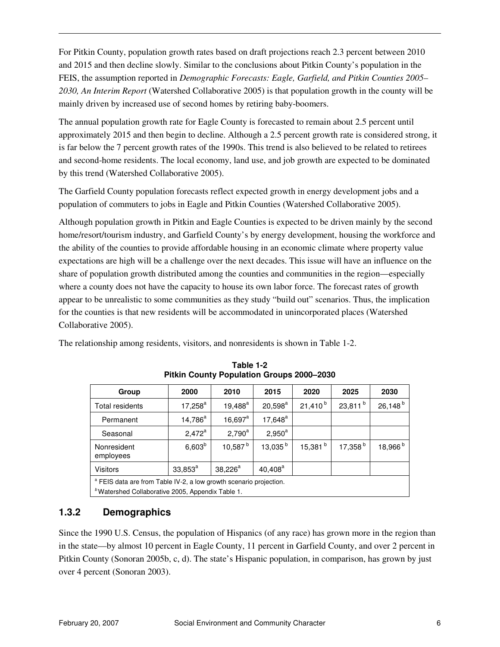For Pitkin County, population growth rates based on draft projections reach 2.3 percent between 2010 and 2015 and then decline slowly. Similar to the conclusions about Pitkin County's population in the FEIS, the assumption reported in *Demographic Forecasts: Eagle, Garfield, and Pitkin Counties 2005– 2030, An Interim Report* (Watershed Collaborative 2005) is that population growth in the county will be mainly driven by increased use of second homes by retiring baby-boomers.

The annual population growth rate for Eagle County is forecasted to remain about 2.5 percent until approximately 2015 and then begin to decline. Although a 2.5 percent growth rate is considered strong, it is far below the 7 percent growth rates of the 1990s. This trend is also believed to be related to retirees and second-home residents. The local economy, land use, and job growth are expected to be dominated by this trend (Watershed Collaborative 2005).

The Garfield County population forecasts reflect expected growth in energy development jobs and a population of commuters to jobs in Eagle and Pitkin Counties (Watershed Collaborative 2005).

Although population growth in Pitkin and Eagle Counties is expected to be driven mainly by the second home/resort/tourism industry, and Garfield County's by energy development, housing the workforce and the ability of the counties to provide affordable housing in an economic climate where property value expectations are high will be a challenge over the next decades. This issue will have an influence on the share of population growth distributed among the counties and communities in the region—especially where a county does not have the capacity to house its own labor force. The forecast rates of growth appear to be unrealistic to some communities as they study "build out" scenarios. Thus, the implication for the counties is that new residents will be accommodated in unincorporated places (Watershed Collaborative 2005).

The relationship among residents, visitors, and nonresidents is shown in Table 1-2.

| Group                                                                         | 2000                                                         | 2010         | 2015                | 2020         | 2025                | 2030                |  |  |
|-------------------------------------------------------------------------------|--------------------------------------------------------------|--------------|---------------------|--------------|---------------------|---------------------|--|--|
| Total residents                                                               | $17,258^{\rm a}$                                             | $19,488^a$   | $20,598^a$          | $21,410^{b}$ | $23,811^{b}$        | 26,148 <sup>b</sup> |  |  |
| Permanent                                                                     | $14,786^a$                                                   | $16,697^a$   | $17,648^a$          |              |                     |                     |  |  |
| Seasonal                                                                      | $2,472^a$                                                    | $2,790^a$    | $2,950^a$           |              |                     |                     |  |  |
| Nonresident<br>employees                                                      | $6,603^b$                                                    | $10,587^{b}$ | 13,035 <sup>b</sup> | $15,381^{b}$ | 17,358 <sup>b</sup> | 18,966 <sup>b</sup> |  |  |
| $40,408^a$<br>$38,226^a$<br>$33,853^a$<br><b>Visitors</b>                     |                                                              |              |                     |              |                     |                     |  |  |
| <sup>a</sup> FEIS data are from Table IV-2, a low growth scenario projection. |                                                              |              |                     |              |                     |                     |  |  |
|                                                                               | <sup>b</sup> Watershed Collaborative 2005, Appendix Table 1. |              |                     |              |                     |                     |  |  |

| Table 1-2                                        |
|--------------------------------------------------|
| <b>Pitkin County Population Groups 2000-2030</b> |

#### **1.3.2 Demographics**

Since the 1990 U.S. Census, the population of Hispanics (of any race) has grown more in the region than in the state—by almost 10 percent in Eagle County, 11 percent in Garfield County, and over 2 percent in Pitkin County (Sonoran 2005b, c, d). The state's Hispanic population, in comparison, has grown by just over 4 percent (Sonoran 2003).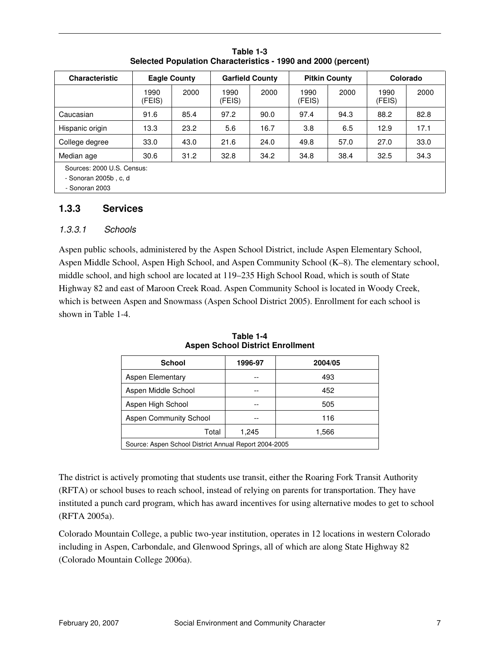| <b>Characteristic</b>                                                 | <b>Eagle County</b> |      |                | <b>Garfield County</b> |                | <b>Pitkin County</b> |                | Colorado |  |
|-----------------------------------------------------------------------|---------------------|------|----------------|------------------------|----------------|----------------------|----------------|----------|--|
|                                                                       | 1990<br>(FEIS)      | 2000 | 1990<br>(FEIS) | 2000                   | 1990<br>(FEIS) | 2000                 | 1990<br>(FEIS) | 2000     |  |
| Caucasian                                                             | 91.6                | 85.4 | 97.2           | 90.0                   | 97.4           | 94.3                 | 88.2           | 82.8     |  |
| Hispanic origin                                                       | 13.3                | 23.2 | 5.6            | 16.7                   | 3.8            | 6.5                  | 12.9           | 17.1     |  |
| College degree                                                        | 33.0                | 43.0 | 21.6           | 24.0                   | 49.8           | 57.0                 | 27.0           | 33.0     |  |
| Median age                                                            | 30.6                | 31.2 | 32.8           | 34.2                   | 34.8           | 38.4                 | 32.5           | 34.3     |  |
| Sources: 2000 U.S. Census:<br>- Sonoran 2005b, c. d<br>- Sonoran 2003 |                     |      |                |                        |                |                      |                |          |  |

**Table 1-3 Selected Population Characteristics - 1990 and 2000 (percent)** 

#### **1.3.3 Services**

#### 1.3.3.1 Schools

Aspen public schools, administered by the Aspen School District, include Aspen Elementary School, Aspen Middle School, Aspen High School, and Aspen Community School (K–8). The elementary school, middle school, and high school are located at 119–235 High School Road, which is south of State Highway 82 and east of Maroon Creek Road. Aspen Community School is located in Woody Creek, which is between Aspen and Snowmass (Aspen School District 2005). Enrollment for each school is shown in Table 1-4.

| 1996-97<br><b>School</b><br>2004/05                   |  |     |  |  |  |  |
|-------------------------------------------------------|--|-----|--|--|--|--|
| Aspen Elementary                                      |  | 493 |  |  |  |  |
| Aspen Middle School                                   |  | 452 |  |  |  |  |
| Aspen High School                                     |  | 505 |  |  |  |  |
| <b>Aspen Community School</b>                         |  | 116 |  |  |  |  |
| Total<br>1,245<br>1,566                               |  |     |  |  |  |  |
| Source: Aspen School District Annual Report 2004-2005 |  |     |  |  |  |  |

**Table 1-4 Aspen School District Enrollment** 

The district is actively promoting that students use transit, either the Roaring Fork Transit Authority (RFTA) or school buses to reach school, instead of relying on parents for transportation. They have instituted a punch card program, which has award incentives for using alternative modes to get to school (RFTA 2005a).

Colorado Mountain College, a public two-year institution, operates in 12 locations in western Colorado including in Aspen, Carbondale, and Glenwood Springs, all of which are along State Highway 82 (Colorado Mountain College 2006a).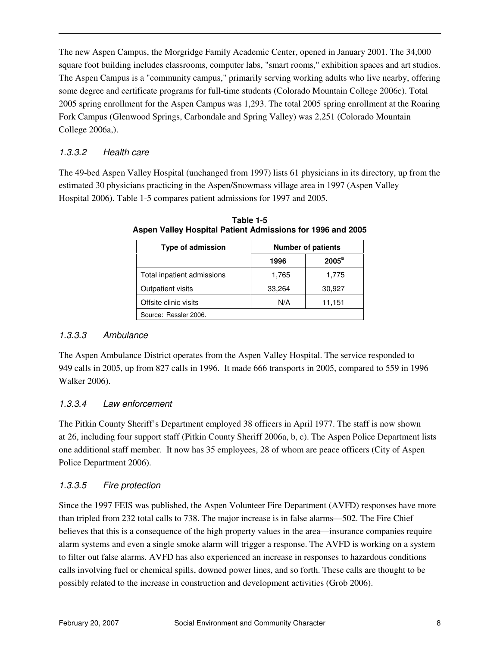The new Aspen Campus, the Morgridge Family Academic Center, opened in January 2001. The 34,000 square foot building includes classrooms, computer labs, "smart rooms," exhibition spaces and art studios. The Aspen Campus is a "community campus," primarily serving working adults who live nearby, offering some degree and certificate programs for full-time students (Colorado Mountain College 2006c). Total 2005 spring enrollment for the Aspen Campus was 1,293. The total 2005 spring enrollment at the Roaring Fork Campus (Glenwood Springs, Carbondale and Spring Valley) was 2,251 (Colorado Mountain College 2006a,).

#### 1.3.3.2 Health care

The 49-bed Aspen Valley Hospital (unchanged from 1997) lists 61 physicians in its directory, up from the estimated 30 physicians practicing in the Aspen/Snowmass village area in 1997 (Aspen Valley Hospital 2006). Table 1-5 compares patient admissions for 1997 and 2005.

| <b>Type of admission</b>   | <b>Number of patients</b> |          |  |  |  |
|----------------------------|---------------------------|----------|--|--|--|
|                            | 1996                      | $2005^a$ |  |  |  |
| Total inpatient admissions | 1,765                     | 1,775    |  |  |  |
| Outpatient visits          | 33,264                    | 30,927   |  |  |  |
| Offsite clinic visits      | N/A                       | 11,151   |  |  |  |
| Source: Ressler 2006.      |                           |          |  |  |  |

**Table 1-5 Aspen Valley Hospital Patient Admissions for 1996 and 2005** 

#### 1.3.3.3 Ambulance

The Aspen Ambulance District operates from the Aspen Valley Hospital. The service responded to 949 calls in 2005, up from 827 calls in 1996. It made 666 transports in 2005, compared to 559 in 1996 Walker 2006).

#### 1.3.3.4 Law enforcement

The Pitkin County Sheriff's Department employed 38 officers in April 1977. The staff is now shown at 26, including four support staff (Pitkin County Sheriff 2006a, b, c). The Aspen Police Department lists one additional staff member. It now has 35 employees, 28 of whom are peace officers (City of Aspen Police Department 2006).

#### 1.3.3.5 Fire protection

Since the 1997 FEIS was published, the Aspen Volunteer Fire Department (AVFD) responses have more than tripled from 232 total calls to 738. The major increase is in false alarms—502. The Fire Chief believes that this is a consequence of the high property values in the area—insurance companies require alarm systems and even a single smoke alarm will trigger a response. The AVFD is working on a system to filter out false alarms. AVFD has also experienced an increase in responses to hazardous conditions calls involving fuel or chemical spills, downed power lines, and so forth. These calls are thought to be possibly related to the increase in construction and development activities (Grob 2006).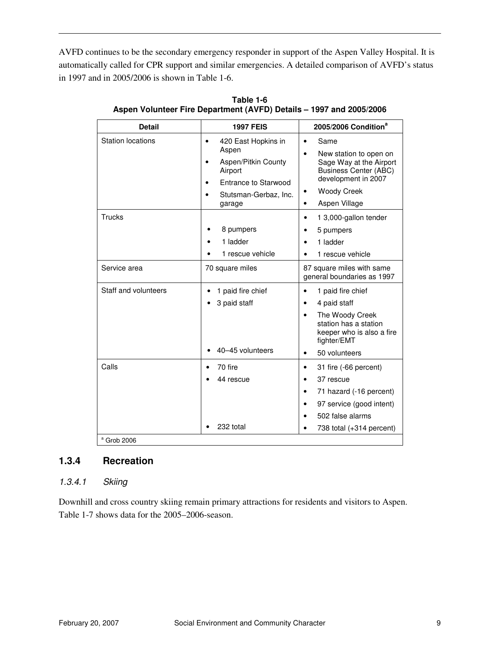AVFD continues to be the secondary emergency responder in support of the Aspen Valley Hospital. It is automatically called for CPR support and similar emergencies. A detailed comparison of AVFD's status in 1997 and in 2005/2006 is shown in Table 1-6.

| <b>Station locations</b><br>420 East Hopkins in<br>Same<br>$\bullet$<br>Aspen<br>New station to open on<br>Aspen/Pitkin County<br><b>Business Center (ABC)</b><br>Airport<br>development in 2007<br>Entrance to Starwood<br><b>Woody Creek</b><br>٠<br>Stutsman-Gerbaz, Inc.<br>Aspen Village<br>garage<br>$\bullet$<br>Trucks<br>1 3,000-gallon tender<br>$\bullet$<br>8 pumpers<br>5 pumpers<br>1 ladder<br>1 ladder<br>1 rescue vehicle<br>1 rescue vehicle<br>Service area<br>70 square miles<br>87 square miles with same<br>general boundaries as 1997<br>Staff and volunteers<br>1 paid fire chief<br>1 paid fire chief<br>$\bullet$<br>3 paid staff<br>4 paid staff<br>٠<br>The Woody Creek<br>station has a station<br>fighter/EMT<br>40-45 volunteers<br>50 volunteers<br>$\bullet$<br>Calls<br>70 fire<br>31 fire (-66 percent)<br>$\bullet$<br>37 rescue<br>44 rescue<br>$\bullet$<br>71 hazard (-16 percent)<br>$\bullet$ | <b>Detail</b> | <b>1997 FEIS</b> | 2005/2006 Condition <sup>a</sup> |
|----------------------------------------------------------------------------------------------------------------------------------------------------------------------------------------------------------------------------------------------------------------------------------------------------------------------------------------------------------------------------------------------------------------------------------------------------------------------------------------------------------------------------------------------------------------------------------------------------------------------------------------------------------------------------------------------------------------------------------------------------------------------------------------------------------------------------------------------------------------------------------------------------------------------------------------|---------------|------------------|----------------------------------|
|                                                                                                                                                                                                                                                                                                                                                                                                                                                                                                                                                                                                                                                                                                                                                                                                                                                                                                                                        |               |                  | Sage Way at the Airport          |
|                                                                                                                                                                                                                                                                                                                                                                                                                                                                                                                                                                                                                                                                                                                                                                                                                                                                                                                                        |               |                  |                                  |
|                                                                                                                                                                                                                                                                                                                                                                                                                                                                                                                                                                                                                                                                                                                                                                                                                                                                                                                                        |               |                  |                                  |
|                                                                                                                                                                                                                                                                                                                                                                                                                                                                                                                                                                                                                                                                                                                                                                                                                                                                                                                                        |               |                  | keeper who is also a fire        |
| 97 service (good intent)<br>$\bullet$<br>502 false alarms<br>232 total<br>$a$ Grob 2006                                                                                                                                                                                                                                                                                                                                                                                                                                                                                                                                                                                                                                                                                                                                                                                                                                                |               |                  | 738 total (+314 percent)         |

**Table 1-6 Aspen Volunteer Fire Department (AVFD) Details – 1997 and 2005/2006** 

#### **1.3.4 Recreation**

#### 1.3.4.1 Skiing

Downhill and cross country skiing remain primary attractions for residents and visitors to Aspen. Table 1-7 shows data for the 2005–2006-season.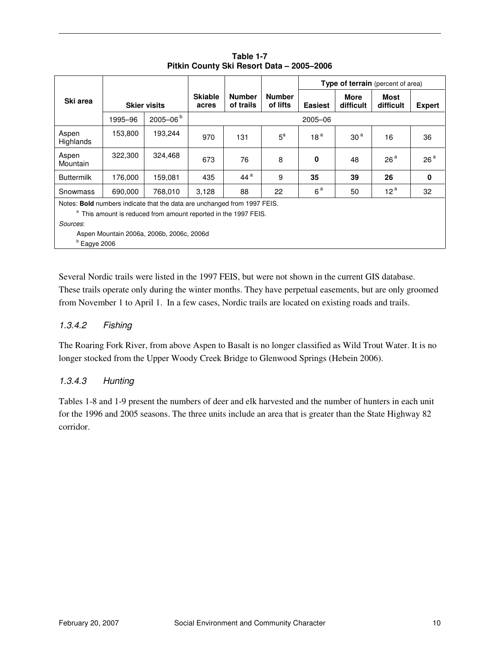|                                                                                                                                                                                                                                   |                     |              |                         |                            |                           |                 | Type of terrain (percent of area) |                   |                 |  |
|-----------------------------------------------------------------------------------------------------------------------------------------------------------------------------------------------------------------------------------|---------------------|--------------|-------------------------|----------------------------|---------------------------|-----------------|-----------------------------------|-------------------|-----------------|--|
| Ski area                                                                                                                                                                                                                          | <b>Skier visits</b> |              | <b>Skiable</b><br>acres | <b>Number</b><br>of trails | <b>Number</b><br>of lifts | <b>Easiest</b>  | More<br><b>difficult</b>          | Most<br>difficult | <b>Expert</b>   |  |
|                                                                                                                                                                                                                                   | 1995-96             | $2005 - 06b$ |                         | 2005-06                    |                           |                 |                                   |                   |                 |  |
| Aspen<br>Highlands                                                                                                                                                                                                                | 153,800             | 193,244      | 970                     | 131                        | $5^a$                     | 18 <sup>a</sup> | 30 <sup>a</sup>                   | 16                | 36              |  |
| Aspen<br>Mountain                                                                                                                                                                                                                 | 322,300             | 324,468      | 673                     | 76                         | 8                         | 0               | 48                                | 26 <sup>a</sup>   | 26 <sup>a</sup> |  |
| <b>Buttermilk</b>                                                                                                                                                                                                                 | 176,000             | 159,081      | 435                     | 44 <sup>a</sup>            | 9                         | 35              | 39                                | 26                | $\mathbf 0$     |  |
| 690,000<br>768.010<br>Snowmass                                                                                                                                                                                                    |                     |              | 3,128                   | 88                         | 22                        | 6 <sup>a</sup>  | 50                                | 12 <sup>a</sup>   | 32              |  |
| Notes: Bold numbers indicate that the data are unchanged from 1997 FEIS.<br><sup>a</sup> This amount is reduced from amount reported in the 1997 FEIS.<br>Sources:<br>Aspen Mountain 2006a, 2006b, 2006c, 2006d<br>$b$ Eagye 2006 |                     |              |                         |                            |                           |                 |                                   |                   |                 |  |

**Table 1-7 Pitkin County Ski Resort Data – 2005–2006** 

Several Nordic trails were listed in the 1997 FEIS, but were not shown in the current GIS database.

These trails operate only during the winter months. They have perpetual easements, but are only groomed from November 1 to April 1. In a few cases, Nordic trails are located on existing roads and trails.

#### 1.3.4.2 Fishing

The Roaring Fork River, from above Aspen to Basalt is no longer classified as Wild Trout Water. It is no longer stocked from the Upper Woody Creek Bridge to Glenwood Springs (Hebein 2006).

#### 1.3.4.3 Hunting

Tables 1-8 and 1-9 present the numbers of deer and elk harvested and the number of hunters in each unit for the 1996 and 2005 seasons. The three units include an area that is greater than the State Highway 82 corridor.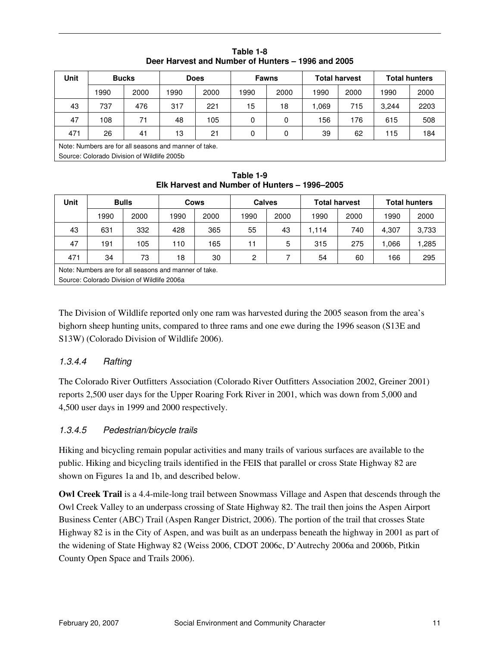| <b>Unit</b>                                           | <b>Bucks</b>                                |      | <b>Does</b> |      | <b>Fawns</b> |      | <b>Total harvest</b> |      | <b>Total hunters</b> |      |
|-------------------------------------------------------|---------------------------------------------|------|-------------|------|--------------|------|----------------------|------|----------------------|------|
|                                                       | 1990                                        | 2000 | 1990        | 2000 | 1990         | 2000 | 1990                 | 2000 | 1990                 | 2000 |
| 43                                                    | 737                                         | 476  | 317         | 221  | 15           | 18   | .069                 | 715  | 3.244                | 2203 |
| 47                                                    | 108                                         | 71   | 48          | 105  | 0            | 0    | 156                  | 176  | 615                  | 508  |
| 471                                                   | 26                                          | 41   | 13          | 21   | 0            | 0    | 39                   | 62   | 115                  | 184  |
| Note: Numbers are for all seasons and manner of take. |                                             |      |             |      |              |      |                      |      |                      |      |
|                                                       | Source: Colorado Division of Wildlife 2005b |      |             |      |              |      |                      |      |                      |      |

**Table 1-8 Deer Harvest and Number of Hunters – 1996 and 2005** 

**Table 1-9 Elk Harvest and Number of Hunters – 1996–2005** 

| <b>Unit</b>                                           | <b>Bulls</b>                                |      |      | <b>Cows</b> |      | <b>Calves</b> |       | <b>Total harvest</b> |       | <b>Total hunters</b> |  |
|-------------------------------------------------------|---------------------------------------------|------|------|-------------|------|---------------|-------|----------------------|-------|----------------------|--|
|                                                       | 1990                                        | 2000 | 1990 | 2000        | 1990 | 2000          | 1990  | 2000                 | 1990  | 2000                 |  |
| 43                                                    | 631                                         | 332  | 428  | 365         | 55   | 43            | 1.114 | 740                  | 4,307 | 3,733                |  |
| 47                                                    | 191                                         | 105  | 110  | 165         | 11   | 5             | 315   | 275                  | 1.066 | ,285                 |  |
| 471                                                   | 34                                          | 73   | 18   | 30          | 2    |               | 54    | 60                   | 166   | 295                  |  |
| Note: Numbers are for all seasons and manner of take. |                                             |      |      |             |      |               |       |                      |       |                      |  |
|                                                       | Source: Colorado Division of Wildlife 2006a |      |      |             |      |               |       |                      |       |                      |  |

The Division of Wildlife reported only one ram was harvested during the 2005 season from the area's bighorn sheep hunting units, compared to three rams and one ewe during the 1996 season (S13E and S13W) (Colorado Division of Wildlife 2006).

### 1.3.4.4 Rafting

The Colorado River Outfitters Association (Colorado River Outfitters Association 2002, Greiner 2001) reports 2,500 user days for the Upper Roaring Fork River in 2001, which was down from 5,000 and 4,500 user days in 1999 and 2000 respectively.

### 1.3.4.5 Pedestrian/bicycle trails

Hiking and bicycling remain popular activities and many trails of various surfaces are available to the public. Hiking and bicycling trails identified in the FEIS that parallel or cross State Highway 82 are shown on Figures 1a and 1b, and described below.

**Owl Creek Trail** is a 4.4-mile-long trail between Snowmass Village and Aspen that descends through the Owl Creek Valley to an underpass crossing of State Highway 82. The trail then joins the Aspen Airport Business Center (ABC) Trail (Aspen Ranger District, 2006). The portion of the trail that crosses State Highway 82 is in the City of Aspen, and was built as an underpass beneath the highway in 2001 as part of the widening of State Highway 82 (Weiss 2006, CDOT 2006c, D'Autrechy 2006a and 2006b, Pitkin County Open Space and Trails 2006).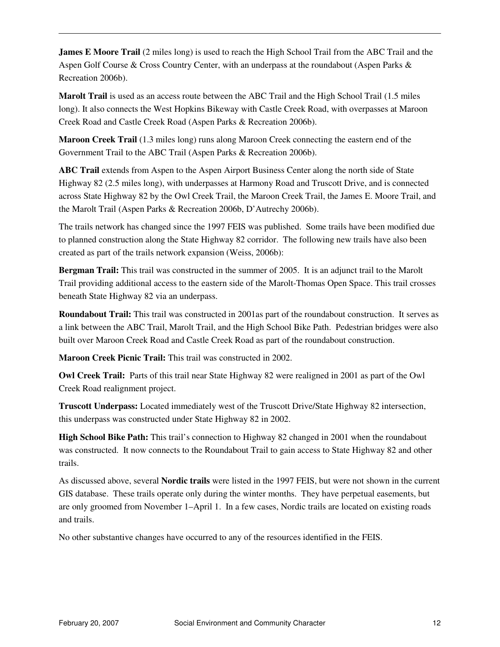**James E Moore Trail** (2 miles long) is used to reach the High School Trail from the ABC Trail and the Aspen Golf Course & Cross Country Center, with an underpass at the roundabout (Aspen Parks & Recreation 2006b).

**Marolt Trail** is used as an access route between the ABC Trail and the High School Trail (1.5 miles long). It also connects the West Hopkins Bikeway with Castle Creek Road, with overpasses at Maroon Creek Road and Castle Creek Road (Aspen Parks & Recreation 2006b).

**Maroon Creek Trail** (1.3 miles long) runs along Maroon Creek connecting the eastern end of the Government Trail to the ABC Trail (Aspen Parks & Recreation 2006b).

**ABC Trail** extends from Aspen to the Aspen Airport Business Center along the north side of State Highway 82 (2.5 miles long), with underpasses at Harmony Road and Truscott Drive, and is connected across State Highway 82 by the Owl Creek Trail, the Maroon Creek Trail, the James E. Moore Trail, and the Marolt Trail (Aspen Parks & Recreation 2006b, D'Autrechy 2006b).

The trails network has changed since the 1997 FEIS was published. Some trails have been modified due to planned construction along the State Highway 82 corridor. The following new trails have also been created as part of the trails network expansion (Weiss, 2006b):

**Bergman Trail:** This trail was constructed in the summer of 2005. It is an adjunct trail to the Marolt Trail providing additional access to the eastern side of the Marolt-Thomas Open Space. This trail crosses beneath State Highway 82 via an underpass.

**Roundabout Trail:** This trail was constructed in 2001as part of the roundabout construction. It serves as a link between the ABC Trail, Marolt Trail, and the High School Bike Path. Pedestrian bridges were also built over Maroon Creek Road and Castle Creek Road as part of the roundabout construction.

**Maroon Creek Picnic Trail:** This trail was constructed in 2002.

**Owl Creek Trail:** Parts of this trail near State Highway 82 were realigned in 2001 as part of the Owl Creek Road realignment project.

**Truscott Underpass:** Located immediately west of the Truscott Drive/State Highway 82 intersection, this underpass was constructed under State Highway 82 in 2002.

**High School Bike Path:** This trail's connection to Highway 82 changed in 2001 when the roundabout was constructed. It now connects to the Roundabout Trail to gain access to State Highway 82 and other trails.

As discussed above, several **Nordic trails** were listed in the 1997 FEIS, but were not shown in the current GIS database. These trails operate only during the winter months. They have perpetual easements, but are only groomed from November 1–April 1. In a few cases, Nordic trails are located on existing roads and trails.

No other substantive changes have occurred to any of the resources identified in the FEIS.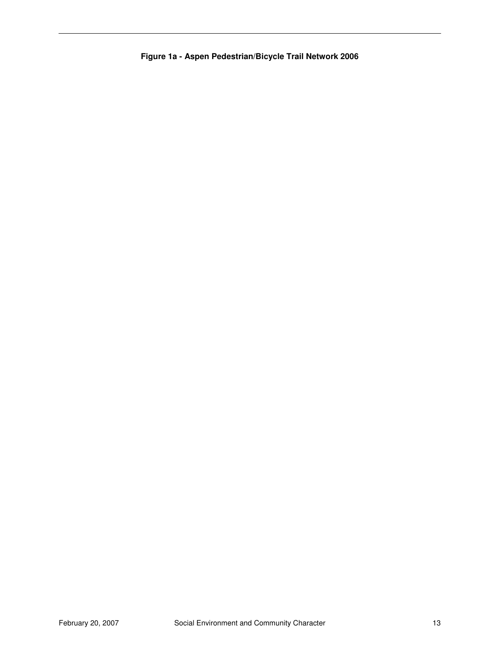**Figure 1a - Aspen Pedestrian/Bicycle Trail Network 2006**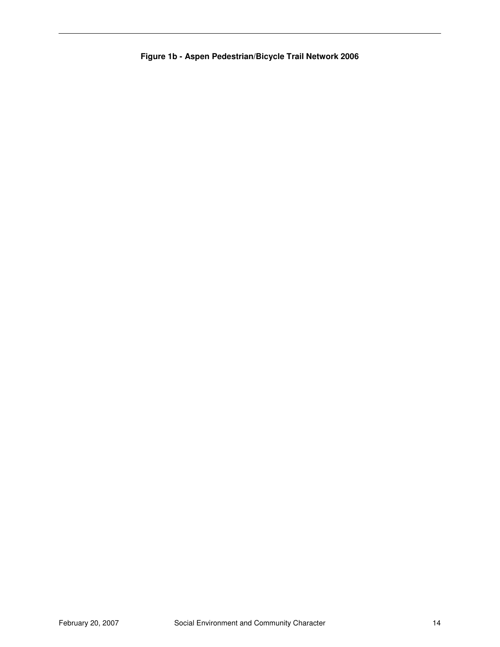**Figure 1b - Aspen Pedestrian/Bicycle Trail Network 2006**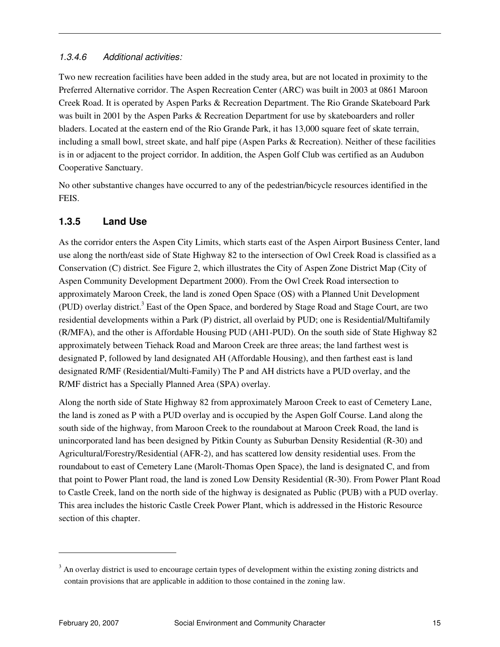#### 1.3.4.6 Additional activities:

Two new recreation facilities have been added in the study area, but are not located in proximity to the Preferred Alternative corridor. The Aspen Recreation Center (ARC) was built in 2003 at 0861 Maroon Creek Road. It is operated by Aspen Parks & Recreation Department. The Rio Grande Skateboard Park was built in 2001 by the Aspen Parks & Recreation Department for use by skateboarders and roller bladers. Located at the eastern end of the Rio Grande Park, it has 13,000 square feet of skate terrain, including a small bowl, street skate, and half pipe (Aspen Parks & Recreation). Neither of these facilities is in or adjacent to the project corridor. In addition, the Aspen Golf Club was certified as an Audubon Cooperative Sanctuary.

No other substantive changes have occurred to any of the pedestrian/bicycle resources identified in the FEIS.

### **1.3.5 Land Use**

As the corridor enters the Aspen City Limits, which starts east of the Aspen Airport Business Center, land use along the north/east side of State Highway 82 to the intersection of Owl Creek Road is classified as a Conservation (C) district. See Figure 2, which illustrates the City of Aspen Zone District Map (City of Aspen Community Development Department 2000). From the Owl Creek Road intersection to approximately Maroon Creek, the land is zoned Open Space (OS) with a Planned Unit Development (PUD) overlay district.<sup>3</sup> East of the Open Space, and bordered by Stage Road and Stage Court, are two residential developments within a Park (P) district, all overlaid by PUD; one is Residential/Multifamily (R/MFA), and the other is Affordable Housing PUD (AH1-PUD). On the south side of State Highway 82 approximately between Tiehack Road and Maroon Creek are three areas; the land farthest west is designated P, followed by land designated AH (Affordable Housing), and then farthest east is land designated R/MF (Residential/Multi-Family) The P and AH districts have a PUD overlay, and the R/MF district has a Specially Planned Area (SPA) overlay.

Along the north side of State Highway 82 from approximately Maroon Creek to east of Cemetery Lane, the land is zoned as P with a PUD overlay and is occupied by the Aspen Golf Course. Land along the south side of the highway, from Maroon Creek to the roundabout at Maroon Creek Road, the land is unincorporated land has been designed by Pitkin County as Suburban Density Residential (R-30) and Agricultural/Forestry/Residential (AFR-2), and has scattered low density residential uses. From the roundabout to east of Cemetery Lane (Marolt-Thomas Open Space), the land is designated C, and from that point to Power Plant road, the land is zoned Low Density Residential (R-30). From Power Plant Road to Castle Creek, land on the north side of the highway is designated as Public (PUB) with a PUD overlay. This area includes the historic Castle Creek Power Plant, which is addressed in the Historic Resource section of this chapter.

 $\overline{a}$ 

 $3$  An overlay district is used to encourage certain types of development within the existing zoning districts and contain provisions that are applicable in addition to those contained in the zoning law.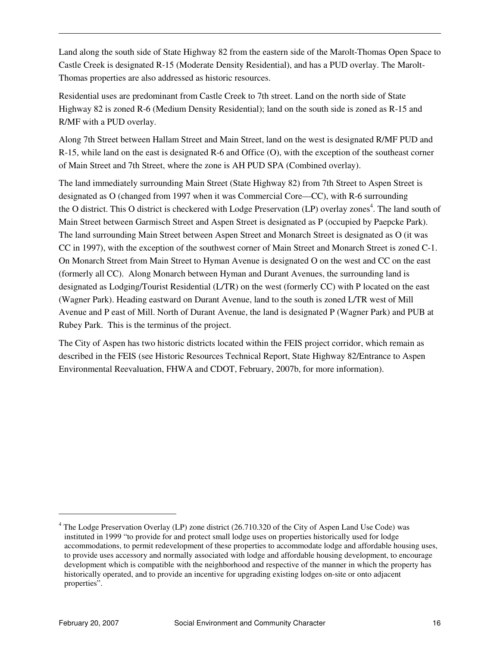Land along the south side of State Highway 82 from the eastern side of the Marolt-Thomas Open Space to Castle Creek is designated R-15 (Moderate Density Residential), and has a PUD overlay. The Marolt-Thomas properties are also addressed as historic resources.

Residential uses are predominant from Castle Creek to 7th street. Land on the north side of State Highway 82 is zoned R-6 (Medium Density Residential); land on the south side is zoned as R-15 and R/MF with a PUD overlay.

Along 7th Street between Hallam Street and Main Street, land on the west is designated R/MF PUD and R-15, while land on the east is designated R-6 and Office (O), with the exception of the southeast corner of Main Street and 7th Street, where the zone is AH PUD SPA (Combined overlay).

The land immediately surrounding Main Street (State Highway 82) from 7th Street to Aspen Street is designated as O (changed from 1997 when it was Commercial Core—CC), with R-6 surrounding the O district. This O district is checkered with Lodge Preservation (LP) overlay zones<sup>4</sup>. The land south of Main Street between Garmisch Street and Aspen Street is designated as P (occupied by Paepcke Park). The land surrounding Main Street between Aspen Street and Monarch Street is designated as O (it was CC in 1997), with the exception of the southwest corner of Main Street and Monarch Street is zoned C-1. On Monarch Street from Main Street to Hyman Avenue is designated O on the west and CC on the east (formerly all CC). Along Monarch between Hyman and Durant Avenues, the surrounding land is designated as Lodging/Tourist Residential (L/TR) on the west (formerly CC) with P located on the east (Wagner Park). Heading eastward on Durant Avenue, land to the south is zoned L/TR west of Mill Avenue and P east of Mill. North of Durant Avenue, the land is designated P (Wagner Park) and PUB at Rubey Park. This is the terminus of the project.

The City of Aspen has two historic districts located within the FEIS project corridor, which remain as described in the FEIS (see Historic Resources Technical Report, State Highway 82/Entrance to Aspen Environmental Reevaluation, FHWA and CDOT, February, 2007b, for more information).

 $\overline{a}$ 

<sup>&</sup>lt;sup>4</sup> The Lodge Preservation Overlay (LP) zone district (26.710.320 of the City of Aspen Land Use Code) was instituted in 1999 "to provide for and protect small lodge uses on properties historically used for lodge accommodations, to permit redevelopment of these properties to accommodate lodge and affordable housing uses, to provide uses accessory and normally associated with lodge and affordable housing development, to encourage development which is compatible with the neighborhood and respective of the manner in which the property has historically operated, and to provide an incentive for upgrading existing lodges on-site or onto adjacent properties".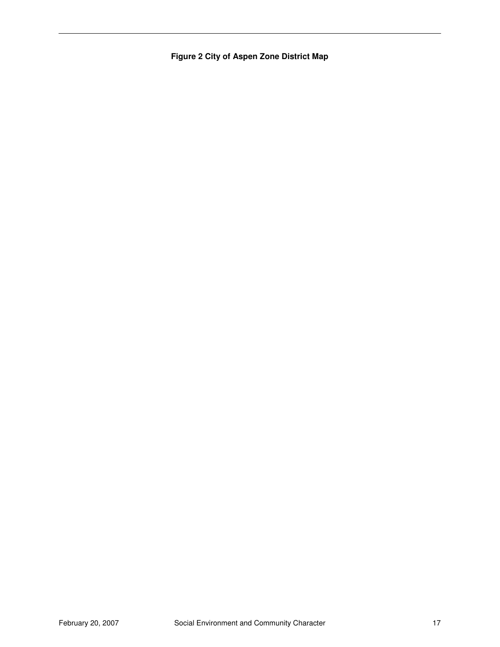**Figure 2 City of Aspen Zone District Map**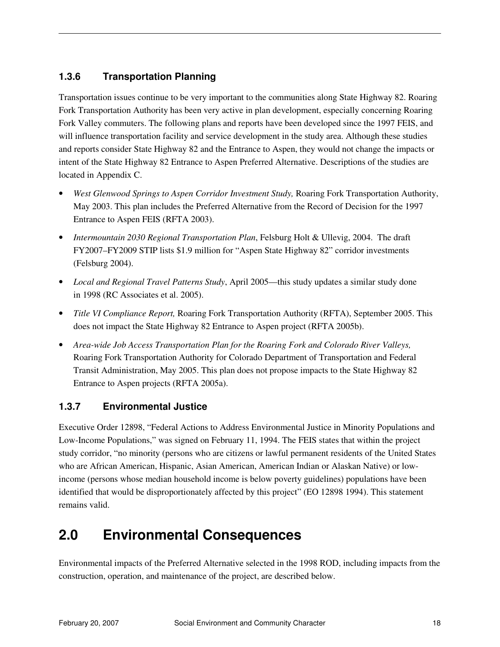### **1.3.6 Transportation Planning**

Transportation issues continue to be very important to the communities along State Highway 82. Roaring Fork Transportation Authority has been very active in plan development, especially concerning Roaring Fork Valley commuters. The following plans and reports have been developed since the 1997 FEIS, and will influence transportation facility and service development in the study area. Although these studies and reports consider State Highway 82 and the Entrance to Aspen, they would not change the impacts or intent of the State Highway 82 Entrance to Aspen Preferred Alternative. Descriptions of the studies are located in Appendix C.

- *West Glenwood Springs to Aspen Corridor Investment Study,* Roaring Fork Transportation Authority, May 2003. This plan includes the Preferred Alternative from the Record of Decision for the 1997 Entrance to Aspen FEIS (RFTA 2003).
- *Intermountain 2030 Regional Transportation Plan*, Felsburg Holt & Ullevig, 2004. The draft FY2007–FY2009 STIP lists \$1.9 million for "Aspen State Highway 82" corridor investments (Felsburg 2004).
- *Local and Regional Travel Patterns Study*, April 2005—this study updates a similar study done in 1998 (RC Associates et al. 2005).
- *Title VI Compliance Report,* Roaring Fork Transportation Authority (RFTA), September 2005. This does not impact the State Highway 82 Entrance to Aspen project (RFTA 2005b).
- *Area-wide Job Access Transportation Plan for the Roaring Fork and Colorado River Valleys,*  Roaring Fork Transportation Authority for Colorado Department of Transportation and Federal Transit Administration, May 2005. This plan does not propose impacts to the State Highway 82 Entrance to Aspen projects (RFTA 2005a).

#### **1.3.7 Environmental Justice**

Executive Order 12898, "Federal Actions to Address Environmental Justice in Minority Populations and Low-Income Populations," was signed on February 11, 1994. The FEIS states that within the project study corridor, "no minority (persons who are citizens or lawful permanent residents of the United States who are African American, Hispanic, Asian American, American Indian or Alaskan Native) or lowincome (persons whose median household income is below poverty guidelines) populations have been identified that would be disproportionately affected by this project" (EO 12898 1994). This statement remains valid.

# **2.0 Environmental Consequences**

Environmental impacts of the Preferred Alternative selected in the 1998 ROD, including impacts from the construction, operation, and maintenance of the project, are described below.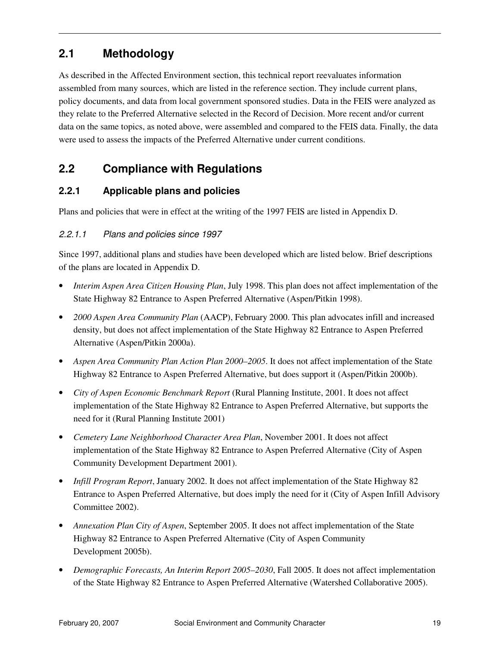### **2.1 Methodology**

As described in the Affected Environment section, this technical report reevaluates information assembled from many sources, which are listed in the reference section. They include current plans, policy documents, and data from local government sponsored studies. Data in the FEIS were analyzed as they relate to the Preferred Alternative selected in the Record of Decision. More recent and/or current data on the same topics, as noted above, were assembled and compared to the FEIS data. Finally, the data were used to assess the impacts of the Preferred Alternative under current conditions.

### **2.2 Compliance with Regulations**

#### **2.2.1 Applicable plans and policies**

Plans and policies that were in effect at the writing of the 1997 FEIS are listed in Appendix D.

#### 2.2.1.1 Plans and policies since 1997

Since 1997, additional plans and studies have been developed which are listed below. Brief descriptions of the plans are located in Appendix D.

- *Interim Aspen Area Citizen Housing Plan*, July 1998. This plan does not affect implementation of the State Highway 82 Entrance to Aspen Preferred Alternative (Aspen/Pitkin 1998).
- *2000 Aspen Area Community Plan* (AACP), February 2000. This plan advocates infill and increased density, but does not affect implementation of the State Highway 82 Entrance to Aspen Preferred Alternative (Aspen/Pitkin 2000a).
- *Aspen Area Community Plan Action Plan 2000–2005*. It does not affect implementation of the State Highway 82 Entrance to Aspen Preferred Alternative, but does support it (Aspen/Pitkin 2000b).
- *City of Aspen Economic Benchmark Report* (Rural Planning Institute, 2001. It does not affect implementation of the State Highway 82 Entrance to Aspen Preferred Alternative, but supports the need for it (Rural Planning Institute 2001)
- *Cemetery Lane Neighborhood Character Area Plan*, November 2001. It does not affect implementation of the State Highway 82 Entrance to Aspen Preferred Alternative (City of Aspen Community Development Department 2001).
- *Infill Program Report*, January 2002. It does not affect implementation of the State Highway 82 Entrance to Aspen Preferred Alternative, but does imply the need for it (City of Aspen Infill Advisory Committee 2002).
- *Annexation Plan City of Aspen*, September 2005. It does not affect implementation of the State Highway 82 Entrance to Aspen Preferred Alternative (City of Aspen Community Development 2005b).
- *Demographic Forecasts, An Interim Report 2005–2030*, Fall 2005. It does not affect implementation of the State Highway 82 Entrance to Aspen Preferred Alternative (Watershed Collaborative 2005).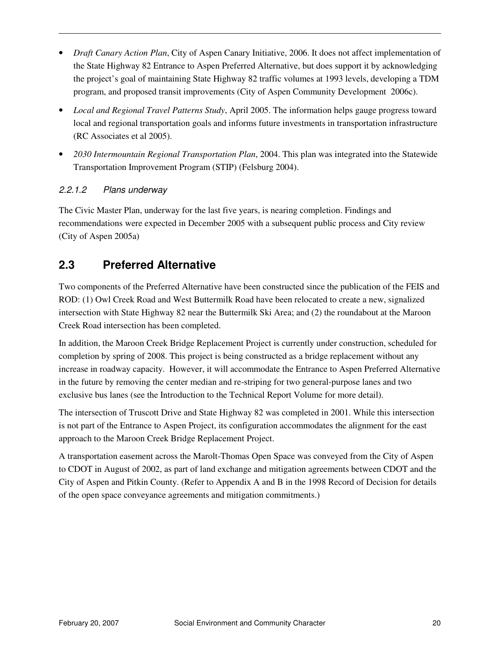- *Draft Canary Action Plan*, City of Aspen Canary Initiative, 2006. It does not affect implementation of the State Highway 82 Entrance to Aspen Preferred Alternative, but does support it by acknowledging the project's goal of maintaining State Highway 82 traffic volumes at 1993 levels, developing a TDM program, and proposed transit improvements (City of Aspen Community Development 2006c).
- *Local and Regional Travel Patterns Study*, April 2005. The information helps gauge progress toward local and regional transportation goals and informs future investments in transportation infrastructure (RC Associates et al 2005).
- *2030 Intermountain Regional Transportation Plan*, 2004. This plan was integrated into the Statewide Transportation Improvement Program (STIP) (Felsburg 2004).

#### 2.2.1.2 Plans underway

The Civic Master Plan, underway for the last five years, is nearing completion. Findings and recommendations were expected in December 2005 with a subsequent public process and City review (City of Aspen 2005a)

### **2.3 Preferred Alternative**

Two components of the Preferred Alternative have been constructed since the publication of the FEIS and ROD: (1) Owl Creek Road and West Buttermilk Road have been relocated to create a new, signalized intersection with State Highway 82 near the Buttermilk Ski Area; and (2) the roundabout at the Maroon Creek Road intersection has been completed.

In addition, the Maroon Creek Bridge Replacement Project is currently under construction, scheduled for completion by spring of 2008. This project is being constructed as a bridge replacement without any increase in roadway capacity. However, it will accommodate the Entrance to Aspen Preferred Alternative in the future by removing the center median and re-striping for two general-purpose lanes and two exclusive bus lanes (see the Introduction to the Technical Report Volume for more detail).

The intersection of Truscott Drive and State Highway 82 was completed in 2001. While this intersection is not part of the Entrance to Aspen Project, its configuration accommodates the alignment for the east approach to the Maroon Creek Bridge Replacement Project.

A transportation easement across the Marolt-Thomas Open Space was conveyed from the City of Aspen to CDOT in August of 2002, as part of land exchange and mitigation agreements between CDOT and the City of Aspen and Pitkin County. (Refer to Appendix A and B in the 1998 Record of Decision for details of the open space conveyance agreements and mitigation commitments.)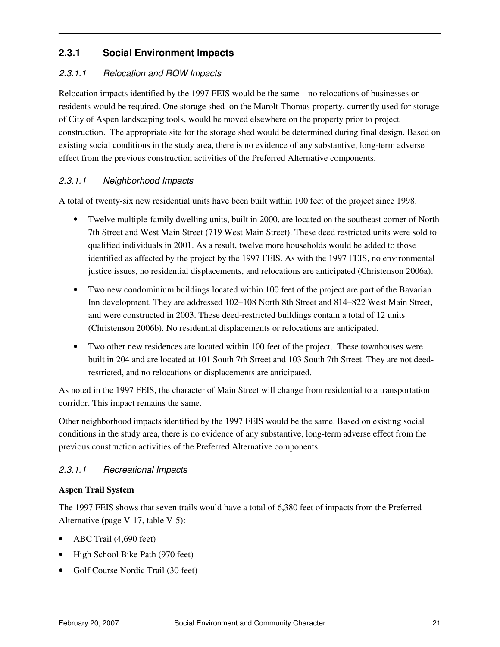#### **2.3.1 Social Environment Impacts**

#### 2.3.1.1 Relocation and ROW Impacts

Relocation impacts identified by the 1997 FEIS would be the same—no relocations of businesses or residents would be required. One storage shed on the Marolt-Thomas property, currently used for storage of City of Aspen landscaping tools, would be moved elsewhere on the property prior to project construction. The appropriate site for the storage shed would be determined during final design. Based on existing social conditions in the study area, there is no evidence of any substantive, long-term adverse effect from the previous construction activities of the Preferred Alternative components.

#### 2.3.1.1 Neighborhood Impacts

A total of twenty-six new residential units have been built within 100 feet of the project since 1998.

- Twelve multiple-family dwelling units, built in 2000, are located on the southeast corner of North 7th Street and West Main Street (719 West Main Street). These deed restricted units were sold to qualified individuals in 2001. As a result, twelve more households would be added to those identified as affected by the project by the 1997 FEIS. As with the 1997 FEIS, no environmental justice issues, no residential displacements, and relocations are anticipated (Christenson 2006a).
- Two new condominium buildings located within 100 feet of the project are part of the Bavarian Inn development. They are addressed 102–108 North 8th Street and 814–822 West Main Street, and were constructed in 2003. These deed-restricted buildings contain a total of 12 units (Christenson 2006b). No residential displacements or relocations are anticipated.
- Two other new residences are located within 100 feet of the project. These townhouses were built in 204 and are located at 101 South 7th Street and 103 South 7th Street. They are not deedrestricted, and no relocations or displacements are anticipated.

As noted in the 1997 FEIS, the character of Main Street will change from residential to a transportation corridor. This impact remains the same.

Other neighborhood impacts identified by the 1997 FEIS would be the same. Based on existing social conditions in the study area, there is no evidence of any substantive, long-term adverse effect from the previous construction activities of the Preferred Alternative components.

#### 2.3.1.1 Recreational Impacts

#### **Aspen Trail System**

The 1997 FEIS shows that seven trails would have a total of 6,380 feet of impacts from the Preferred Alternative (page V-17, table V-5):

- ABC Trail (4,690 feet)
- High School Bike Path (970 feet)
- Golf Course Nordic Trail (30 feet)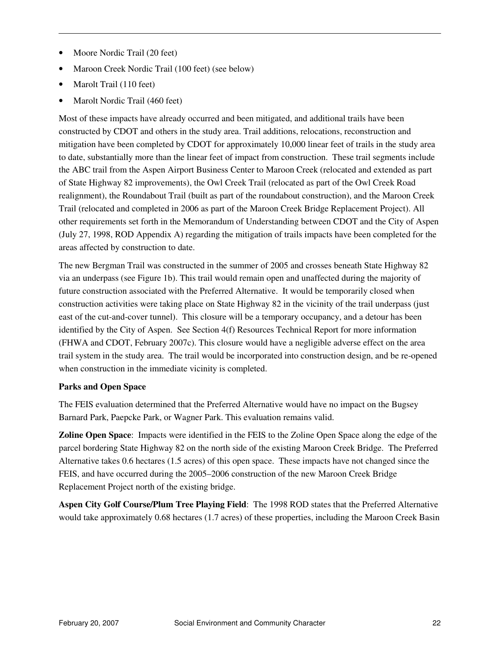- Moore Nordic Trail (20 feet)
- Maroon Creek Nordic Trail (100 feet) (see below)
- Marolt Trail (110 feet)
- Marolt Nordic Trail (460 feet)

Most of these impacts have already occurred and been mitigated, and additional trails have been constructed by CDOT and others in the study area. Trail additions, relocations, reconstruction and mitigation have been completed by CDOT for approximately 10,000 linear feet of trails in the study area to date, substantially more than the linear feet of impact from construction. These trail segments include the ABC trail from the Aspen Airport Business Center to Maroon Creek (relocated and extended as part of State Highway 82 improvements), the Owl Creek Trail (relocated as part of the Owl Creek Road realignment), the Roundabout Trail (built as part of the roundabout construction), and the Maroon Creek Trail (relocated and completed in 2006 as part of the Maroon Creek Bridge Replacement Project). All other requirements set forth in the Memorandum of Understanding between CDOT and the City of Aspen (July 27, 1998, ROD Appendix A) regarding the mitigation of trails impacts have been completed for the areas affected by construction to date.

The new Bergman Trail was constructed in the summer of 2005 and crosses beneath State Highway 82 via an underpass (see Figure 1b). This trail would remain open and unaffected during the majority of future construction associated with the Preferred Alternative. It would be temporarily closed when construction activities were taking place on State Highway 82 in the vicinity of the trail underpass (just east of the cut-and-cover tunnel). This closure will be a temporary occupancy, and a detour has been identified by the City of Aspen. See Section 4(f) Resources Technical Report for more information (FHWA and CDOT, February 2007c). This closure would have a negligible adverse effect on the area trail system in the study area. The trail would be incorporated into construction design, and be re-opened when construction in the immediate vicinity is completed.

#### **Parks and Open Space**

The FEIS evaluation determined that the Preferred Alternative would have no impact on the Bugsey Barnard Park, Paepcke Park, or Wagner Park. This evaluation remains valid.

**Zoline Open Space**: Impacts were identified in the FEIS to the Zoline Open Space along the edge of the parcel bordering State Highway 82 on the north side of the existing Maroon Creek Bridge. The Preferred Alternative takes 0.6 hectares (1.5 acres) of this open space. These impacts have not changed since the FEIS, and have occurred during the 2005–2006 construction of the new Maroon Creek Bridge Replacement Project north of the existing bridge.

**Aspen City Golf Course/Plum Tree Playing Field**: The 1998 ROD states that the Preferred Alternative would take approximately 0.68 hectares (1.7 acres) of these properties, including the Maroon Creek Basin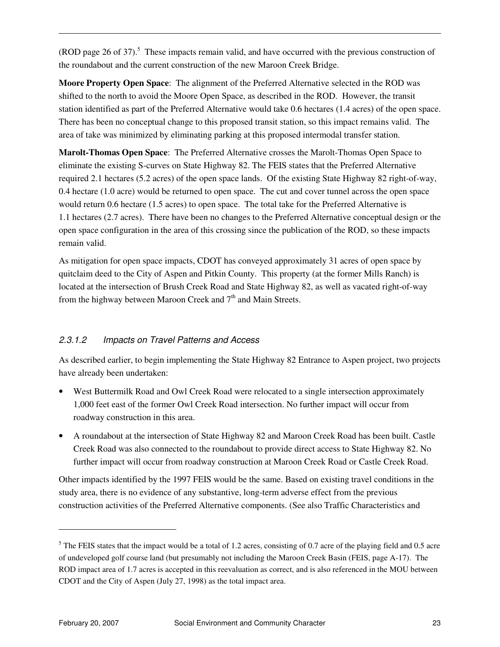(ROD page 26 of 37).<sup>5</sup> These impacts remain valid, and have occurred with the previous construction of the roundabout and the current construction of the new Maroon Creek Bridge.

**Moore Property Open Space**: The alignment of the Preferred Alternative selected in the ROD was shifted to the north to avoid the Moore Open Space, as described in the ROD. However, the transit station identified as part of the Preferred Alternative would take 0.6 hectares (1.4 acres) of the open space. There has been no conceptual change to this proposed transit station, so this impact remains valid. The area of take was minimized by eliminating parking at this proposed intermodal transfer station.

**Marolt-Thomas Open Space**: The Preferred Alternative crosses the Marolt-Thomas Open Space to eliminate the existing S-curves on State Highway 82. The FEIS states that the Preferred Alternative required 2.1 hectares (5.2 acres) of the open space lands. Of the existing State Highway 82 right-of-way, 0.4 hectare (1.0 acre) would be returned to open space. The cut and cover tunnel across the open space would return 0.6 hectare (1.5 acres) to open space. The total take for the Preferred Alternative is 1.1 hectares (2.7 acres). There have been no changes to the Preferred Alternative conceptual design or the open space configuration in the area of this crossing since the publication of the ROD, so these impacts remain valid.

As mitigation for open space impacts, CDOT has conveyed approximately 31 acres of open space by quitclaim deed to the City of Aspen and Pitkin County. This property (at the former Mills Ranch) is located at the intersection of Brush Creek Road and State Highway 82, as well as vacated right-of-way from the highway between Maroon Creek and 7<sup>th</sup> and Main Streets.

#### 2.3.1.2 Impacts on Travel Patterns and Access

As described earlier, to begin implementing the State Highway 82 Entrance to Aspen project, two projects have already been undertaken:

- West Buttermilk Road and Owl Creek Road were relocated to a single intersection approximately 1,000 feet east of the former Owl Creek Road intersection. No further impact will occur from roadway construction in this area.
- A roundabout at the intersection of State Highway 82 and Maroon Creek Road has been built. Castle Creek Road was also connected to the roundabout to provide direct access to State Highway 82. No further impact will occur from roadway construction at Maroon Creek Road or Castle Creek Road.

Other impacts identified by the 1997 FEIS would be the same. Based on existing travel conditions in the study area, there is no evidence of any substantive, long-term adverse effect from the previous construction activities of the Preferred Alternative components. (See also Traffic Characteristics and

 $\overline{a}$ 

 $<sup>5</sup>$  The FEIS states that the impact would be a total of 1.2 acres, consisting of 0.7 acre of the playing field and 0.5 acre</sup> of undeveloped golf course land (but presumably not including the Maroon Creek Basin (FEIS, page A-17). The ROD impact area of 1.7 acres is accepted in this reevaluation as correct, and is also referenced in the MOU between CDOT and the City of Aspen (July 27, 1998) as the total impact area.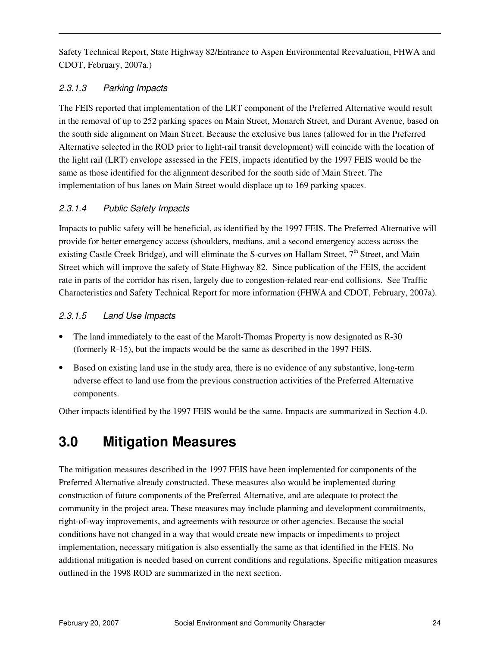Safety Technical Report, State Highway 82/Entrance to Aspen Environmental Reevaluation, FHWA and CDOT, February, 2007a.)

#### 2.3.1.3 Parking Impacts

The FEIS reported that implementation of the LRT component of the Preferred Alternative would result in the removal of up to 252 parking spaces on Main Street, Monarch Street, and Durant Avenue, based on the south side alignment on Main Street. Because the exclusive bus lanes (allowed for in the Preferred Alternative selected in the ROD prior to light-rail transit development) will coincide with the location of the light rail (LRT) envelope assessed in the FEIS, impacts identified by the 1997 FEIS would be the same as those identified for the alignment described for the south side of Main Street. The implementation of bus lanes on Main Street would displace up to 169 parking spaces.

#### 2.3.1.4 Public Safety Impacts

Impacts to public safety will be beneficial, as identified by the 1997 FEIS. The Preferred Alternative will provide for better emergency access (shoulders, medians, and a second emergency access across the existing Castle Creek Bridge), and will eliminate the S-curves on Hallam Street,  $7<sup>th</sup>$  Street, and Main Street which will improve the safety of State Highway 82. Since publication of the FEIS, the accident rate in parts of the corridor has risen, largely due to congestion-related rear-end collisions. See Traffic Characteristics and Safety Technical Report for more information (FHWA and CDOT, February, 2007a).

#### 2.3.1.5 Land Use Impacts

- The land immediately to the east of the Marolt-Thomas Property is now designated as R-30 (formerly R-15), but the impacts would be the same as described in the 1997 FEIS.
- Based on existing land use in the study area, there is no evidence of any substantive, long-term adverse effect to land use from the previous construction activities of the Preferred Alternative components.

Other impacts identified by the 1997 FEIS would be the same. Impacts are summarized in Section 4.0.

# **3.0 Mitigation Measures**

The mitigation measures described in the 1997 FEIS have been implemented for components of the Preferred Alternative already constructed. These measures also would be implemented during construction of future components of the Preferred Alternative, and are adequate to protect the community in the project area. These measures may include planning and development commitments, right-of-way improvements, and agreements with resource or other agencies. Because the social conditions have not changed in a way that would create new impacts or impediments to project implementation, necessary mitigation is also essentially the same as that identified in the FEIS. No additional mitigation is needed based on current conditions and regulations. Specific mitigation measures outlined in the 1998 ROD are summarized in the next section.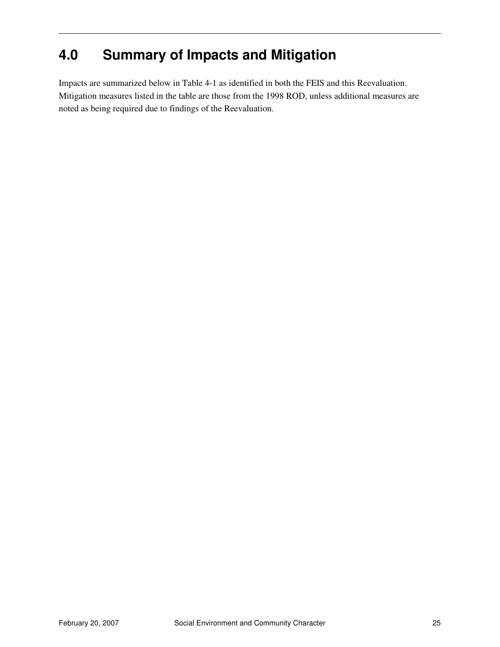# **4.0 Summary of Impacts and Mitigation**

Impacts are summarized below in Table 4-1 as identified in both the FEIS and this Reevaluation. Mitigation measures listed in the table are those from the 1998 ROD, unless additional measures are noted as being required due to findings of the Reevaluation.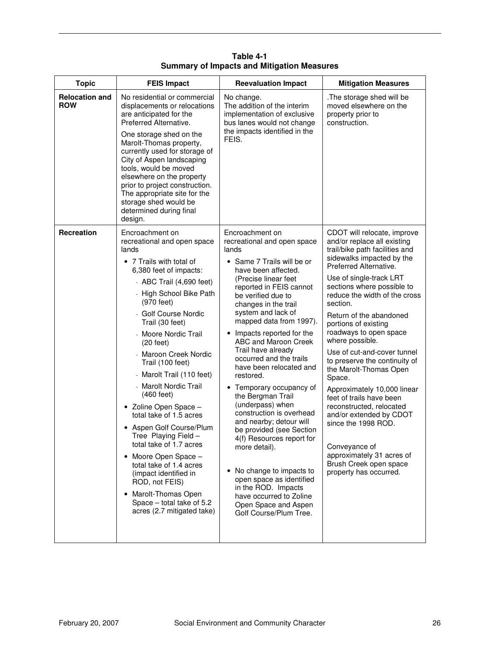| <b>Topic</b>                        | <b>FEIS Impact</b>                                                                                                                                                                                                                                                                                                                                                                                                                                                                                                                                                                                                                                                                                                                       | <b>Reevaluation Impact</b>                                                                                                                                                                                                                                                                                                                                                                                                                                                                                                                                                                                                                                                                                                                                                     | <b>Mitigation Measures</b>                                                                                                                                                                                                                                                                                                                                                                                                                                                                                                                                                                                                                                                                               |
|-------------------------------------|------------------------------------------------------------------------------------------------------------------------------------------------------------------------------------------------------------------------------------------------------------------------------------------------------------------------------------------------------------------------------------------------------------------------------------------------------------------------------------------------------------------------------------------------------------------------------------------------------------------------------------------------------------------------------------------------------------------------------------------|--------------------------------------------------------------------------------------------------------------------------------------------------------------------------------------------------------------------------------------------------------------------------------------------------------------------------------------------------------------------------------------------------------------------------------------------------------------------------------------------------------------------------------------------------------------------------------------------------------------------------------------------------------------------------------------------------------------------------------------------------------------------------------|----------------------------------------------------------------------------------------------------------------------------------------------------------------------------------------------------------------------------------------------------------------------------------------------------------------------------------------------------------------------------------------------------------------------------------------------------------------------------------------------------------------------------------------------------------------------------------------------------------------------------------------------------------------------------------------------------------|
| <b>Relocation and</b><br><b>ROW</b> | No residential or commercial<br>displacements or relocations<br>are anticipated for the<br>Preferred Alternative.<br>One storage shed on the<br>Marolt-Thomas property,<br>currently used for storage of<br>City of Aspen landscaping<br>tools, would be moved<br>elsewhere on the property<br>prior to project construction.<br>The appropriate site for the<br>storage shed would be<br>determined during final<br>design.                                                                                                                                                                                                                                                                                                             | No change.<br>The addition of the interim<br>implementation of exclusive<br>bus lanes would not change<br>the impacts identified in the<br>FEIS.                                                                                                                                                                                                                                                                                                                                                                                                                                                                                                                                                                                                                               | .The storage shed will be<br>moved elsewhere on the<br>property prior to<br>construction.                                                                                                                                                                                                                                                                                                                                                                                                                                                                                                                                                                                                                |
| <b>Recreation</b>                   | Encroachment on<br>recreational and open space<br>lands<br>• 7 Trails with total of<br>6,380 feet of impacts:<br>- ABC Trail $(4,690$ feet)<br>- High School Bike Path<br>(970 feet)<br>- Golf Course Nordic<br>Trail (30 feet)<br>- Moore Nordic Trail<br>$(20 \text{ feet})$<br>- Maroon Creek Nordic<br>Trail (100 feet)<br>- Marolt Trail (110 feet)<br>- Marolt Nordic Trail<br>$(460 \text{ feet})$<br>• Zoline Open Space -<br>total take of 1.5 acres<br>• Aspen Golf Course/Plum<br>Tree Playing Field -<br>total take of 1.7 acres<br>Moore Open Space -<br>$\bullet$<br>total take of 1.4 acres<br>(impact identified in<br>ROD, not FEIS)<br>• Marolt-Thomas Open<br>Space - total take of 5.2<br>acres (2.7 mitigated take) | Encroachment on<br>recreational and open space<br>lands<br>• Same 7 Trails will be or<br>have been affected.<br>(Precise linear feet<br>reported in FEIS cannot<br>be verified due to<br>changes in the trail<br>system and lack of<br>mapped data from 1997).<br>Impacts reported for the<br>ABC and Maroon Creek<br>Trail have already<br>occurred and the trails<br>have been relocated and<br>restored.<br>• Temporary occupancy of<br>the Bergman Trail<br>(underpass) when<br>construction is overhead<br>and nearby; detour will<br>be provided (see Section<br>4(f) Resources report for<br>more detail).<br>• No change to impacts to<br>open space as identified<br>in the ROD. Impacts<br>have occurred to Zoline<br>Open Space and Aspen<br>Golf Course/Plum Tree. | CDOT will relocate, improve<br>and/or replace all existing<br>trail/bike path facilities and<br>sidewalks impacted by the<br>Preferred Alternative.<br>Use of single-track LRT<br>sections where possible to<br>reduce the width of the cross<br>section.<br>Return of the abandoned<br>portions of existing<br>roadways to open space<br>where possible.<br>Use of cut-and-cover tunnel<br>to preserve the continuity of<br>the Marolt-Thomas Open<br>Space.<br>Approximately 10,000 linear<br>feet of trails have been<br>reconstructed, relocated<br>and/or extended by CDOT<br>since the 1998 ROD.<br>Conveyance of<br>approximately 31 acres of<br>Brush Creek open space<br>property has occurred. |

**Table 4-1 Summary of Impacts and Mitigation Measures**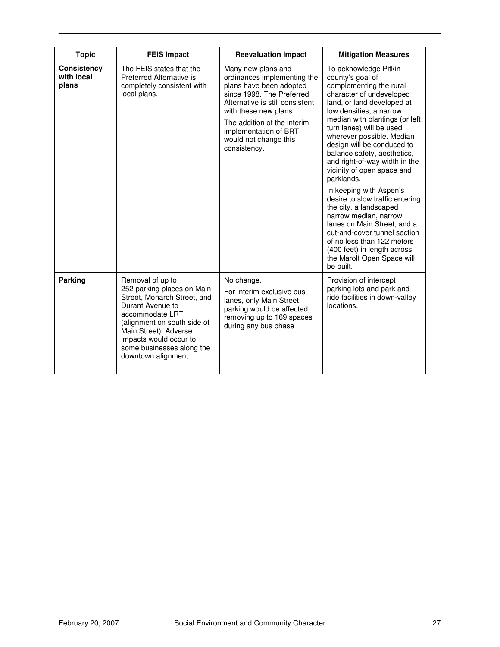| <b>Topic</b>                              | <b>FEIS Impact</b>                                                                                                                                                                                                                                         | <b>Reevaluation Impact</b>                                                                                                                                                                                                                                             | <b>Mitigation Measures</b>                                                                                                                                                                                                                                                                                                                                                                                                                                                                                                                                                                                                                                                             |
|-------------------------------------------|------------------------------------------------------------------------------------------------------------------------------------------------------------------------------------------------------------------------------------------------------------|------------------------------------------------------------------------------------------------------------------------------------------------------------------------------------------------------------------------------------------------------------------------|----------------------------------------------------------------------------------------------------------------------------------------------------------------------------------------------------------------------------------------------------------------------------------------------------------------------------------------------------------------------------------------------------------------------------------------------------------------------------------------------------------------------------------------------------------------------------------------------------------------------------------------------------------------------------------------|
| <b>Consistency</b><br>with local<br>plans | The FEIS states that the<br>Preferred Alternative is<br>completely consistent with<br>local plans.                                                                                                                                                         | Many new plans and<br>ordinances implementing the<br>plans have been adopted<br>since 1998. The Preferred<br>Alternative is still consistent<br>with these new plans.<br>The addition of the interim<br>implementation of BRT<br>would not change this<br>consistency. | To acknowledge Pitkin<br>county's goal of<br>complementing the rural<br>character of undeveloped<br>land, or land developed at<br>low densities, a narrow<br>median with plantings (or left<br>turn lanes) will be used<br>wherever possible. Median<br>design will be conduced to<br>balance safety, aesthetics,<br>and right-of-way width in the<br>vicinity of open space and<br>parklands.<br>In keeping with Aspen's<br>desire to slow traffic entering<br>the city, a landscaped<br>narrow median, narrow<br>lanes on Main Street, and a<br>cut-and-cover tunnel section<br>of no less than 122 meters<br>(400 feet) in length across<br>the Marolt Open Space will<br>be built. |
| <b>Parking</b>                            | Removal of up to<br>252 parking places on Main<br>Street, Monarch Street, and<br>Durant Avenue to<br>accommodate LRT<br>(alignment on south side of<br>Main Street). Adverse<br>impacts would occur to<br>some businesses along the<br>downtown alignment. | No change.<br>For interim exclusive bus<br>lanes, only Main Street<br>parking would be affected,<br>removing up to 169 spaces<br>during any bus phase                                                                                                                  | Provision of intercept<br>parking lots and park and<br>ride facilities in down-valley<br>locations.                                                                                                                                                                                                                                                                                                                                                                                                                                                                                                                                                                                    |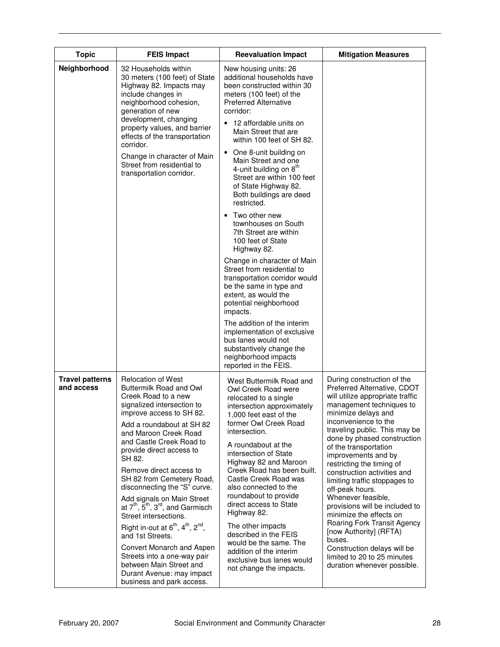| <b>Topic</b>                         | <b>FEIS Impact</b>                                                                                                                                                                                                                                                                                                                                                                                                                                                                                                                                                                                                                                                               | <b>Reevaluation Impact</b>                                                                                                                                                                                                                                                                                                                                                                                                                                                                                                                                       | <b>Mitigation Measures</b>                                                                                                                                                                                                                                                                                                                                                                                                                                                                                                                                                                                                                                  |
|--------------------------------------|----------------------------------------------------------------------------------------------------------------------------------------------------------------------------------------------------------------------------------------------------------------------------------------------------------------------------------------------------------------------------------------------------------------------------------------------------------------------------------------------------------------------------------------------------------------------------------------------------------------------------------------------------------------------------------|------------------------------------------------------------------------------------------------------------------------------------------------------------------------------------------------------------------------------------------------------------------------------------------------------------------------------------------------------------------------------------------------------------------------------------------------------------------------------------------------------------------------------------------------------------------|-------------------------------------------------------------------------------------------------------------------------------------------------------------------------------------------------------------------------------------------------------------------------------------------------------------------------------------------------------------------------------------------------------------------------------------------------------------------------------------------------------------------------------------------------------------------------------------------------------------------------------------------------------------|
| Neighborhood                         | 32 Households within<br>30 meters (100 feet) of State<br>Highway 82. Impacts may<br>include changes in<br>neighborhood cohesion,<br>generation of new<br>development, changing<br>property values, and barrier<br>effects of the transportation<br>corridor.<br>Change in character of Main                                                                                                                                                                                                                                                                                                                                                                                      | New housing units: 26<br>additional households have<br>been constructed within 30<br>meters (100 feet) of the<br><b>Preferred Alternative</b><br>corridor:<br>12 affordable units on<br>Main Street that are<br>within 100 feet of SH 82.<br>One 8-unit building on<br>$\bullet$                                                                                                                                                                                                                                                                                 |                                                                                                                                                                                                                                                                                                                                                                                                                                                                                                                                                                                                                                                             |
|                                      | Street from residential to<br>transportation corridor.                                                                                                                                                                                                                                                                                                                                                                                                                                                                                                                                                                                                                           | Main Street and one<br>4-unit building on 8 <sup>th</sup><br>Street are within 100 feet<br>of State Highway 82.<br>Both buildings are deed<br>restricted.                                                                                                                                                                                                                                                                                                                                                                                                        |                                                                                                                                                                                                                                                                                                                                                                                                                                                                                                                                                                                                                                                             |
|                                      |                                                                                                                                                                                                                                                                                                                                                                                                                                                                                                                                                                                                                                                                                  | Two other new<br>$\bullet$<br>townhouses on South<br>7th Street are within<br>100 feet of State<br>Highway 82.                                                                                                                                                                                                                                                                                                                                                                                                                                                   |                                                                                                                                                                                                                                                                                                                                                                                                                                                                                                                                                                                                                                                             |
|                                      |                                                                                                                                                                                                                                                                                                                                                                                                                                                                                                                                                                                                                                                                                  | Change in character of Main<br>Street from residential to<br>transportation corridor would<br>be the same in type and<br>extent, as would the<br>potential neighborhood<br>impacts.                                                                                                                                                                                                                                                                                                                                                                              |                                                                                                                                                                                                                                                                                                                                                                                                                                                                                                                                                                                                                                                             |
|                                      |                                                                                                                                                                                                                                                                                                                                                                                                                                                                                                                                                                                                                                                                                  | The addition of the interim<br>implementation of exclusive<br>bus lanes would not<br>substantively change the<br>neighborhood impacts<br>reported in the FEIS.                                                                                                                                                                                                                                                                                                                                                                                                   |                                                                                                                                                                                                                                                                                                                                                                                                                                                                                                                                                                                                                                                             |
| <b>Travel patterns</b><br>and access | <b>Relocation of West</b><br>Buttermilk Road and Owl<br>Creek Road to a new<br>signalized intersection to<br>improve access to SH 82.<br>Add a roundabout at SH 82<br>and Maroon Creek Road<br>and Castle Creek Road to<br>provide direct access to<br>SH 82.<br>Remove direct access to<br>SH 82 from Cemetery Road,<br>disconnecting the "S" curve.<br>Add signals on Main Street<br>at $7th$ , $5th$ , $3rd$ , and Garmisch<br>Street intersections.<br>Right in-out at $6^{th}$ , $4^{th}$ , $2^{nd}$ ,<br>and 1st Streets.<br>Convert Monarch and Aspen<br>Streets into a one-way pair<br>between Main Street and<br>Durant Avenue: may impact<br>business and park access. | West Buttermilk Road and<br>Owl Creek Road were<br>relocated to a single<br>intersection approximately<br>1,000 feet east of the<br>former Owl Creek Road<br>intersection.<br>A roundabout at the<br>intersection of State<br>Highway 82 and Maroon<br>Creek Road has been built.<br>Castle Creek Road was<br>also connected to the<br>roundabout to provide<br>direct access to State<br>Highway 82.<br>The other impacts<br>described in the FEIS<br>would be the same. The<br>addition of the interim<br>exclusive bus lanes would<br>not change the impacts. | During construction of the<br>Preferred Alternative, CDOT<br>will utilize appropriate traffic<br>management techniques to<br>minimize delays and<br>inconvenience to the<br>traveling public. This may be<br>done by phased construction<br>of the transportation<br>improvements and by<br>restricting the timing of<br>construction activities and<br>limiting traffic stoppages to<br>off-peak hours.<br>Whenever feasible,<br>provisions will be included to<br>minimize the effects on<br>Roaring Fork Transit Agency<br>[now Authority] (RFTA)<br>buses.<br>Construction delays will be<br>limited to 20 to 25 minutes<br>duration whenever possible. |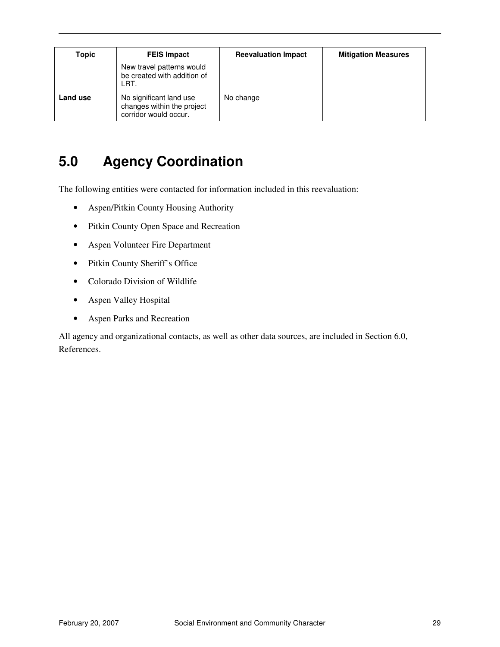| Topic    | <b>FEIS Impact</b>                                                             | <b>Reevaluation Impact</b> | <b>Mitigation Measures</b> |
|----------|--------------------------------------------------------------------------------|----------------------------|----------------------------|
|          | New travel patterns would<br>be created with addition of<br>LRT.               |                            |                            |
| Land use | No significant land use<br>changes within the project<br>corridor would occur. | No change                  |                            |

# **5.0 Agency Coordination**

The following entities were contacted for information included in this reevaluation:

- Aspen/Pitkin County Housing Authority
- Pitkin County Open Space and Recreation
- Aspen Volunteer Fire Department
- Pitkin County Sheriff's Office
- Colorado Division of Wildlife
- Aspen Valley Hospital
- Aspen Parks and Recreation

All agency and organizational contacts, as well as other data sources, are included in Section 6.0, References.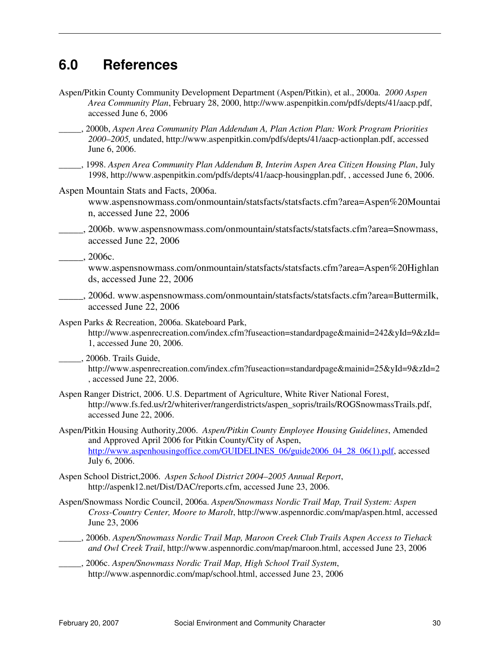# **6.0 References**

Aspen/Pitkin County Community Development Department (Aspen/Pitkin), et al., 2000a. *2000 Aspen Area Community Plan*, February 28, 2000, http://www.aspenpitkin.com/pdfs/depts/41/aacp.pdf, accessed June 6, 2006 *\_\_\_\_\_*, 2000b, *Aspen Area Community Plan Addendum A, Plan Action Plan: Work Program Priorities 2000–2005,* undated, http://www.aspenpitkin.com/pdfs/depts/41/aacp-actionplan.pdf, accessed June 6, 2006. \_\_\_\_\_, 1998. *Aspen Area Community Plan Addendum B, Interim Aspen Area Citizen Housing Plan*, July 1998, http://www.aspenpitkin.com/pdfs/depts/41/aacp-housingplan.pdf, , accessed June 6, 2006. Aspen Mountain Stats and Facts, 2006a. www.aspensnowmass.com/onmountain/statsfacts/statsfacts.cfm?area=Aspen%20Mountai n, accessed June 22, 2006 \_\_\_\_\_, 2006b. www.aspensnowmass.com/onmountain/statsfacts/statsfacts.cfm?area=Snowmass, accessed June 22, 2006 \_\_\_\_\_, 2006c. www.aspensnowmass.com/onmountain/statsfacts/statsfacts.cfm?area=Aspen%20Highlan ds, accessed June 22, 2006 \_\_\_\_\_, 2006d. www.aspensnowmass.com/onmountain/statsfacts/statsfacts.cfm?area=Buttermilk, accessed June 22, 2006 Aspen Parks & Recreation, 2006a. Skateboard Park, http://www.aspenrecreation.com/index.cfm?fuseaction=standardpage&mainid=242&yId=9&zId= 1, accessed June 20, 2006. \_\_\_\_\_, 2006b. Trails Guide, http://www.aspenrecreation.com/index.cfm?fuseaction=standardpage&mainid=25&yId=9&zId=2 , accessed June 22, 2006. Aspen Ranger District, 2006. U.S. Department of Agriculture, White River National Forest, http://www.fs.fed.us/r2/whiteriver/rangerdistricts/aspen\_sopris/trails/ROGSnowmassTrails.pdf, accessed June 22, 2006. Aspen/Pitkin Housing Authority,2006. *Aspen/Pitkin County Employee Housing Guidelines*, Amended and Approved April 2006 for Pitkin County/City of Aspen, http://www.aspenhousingoffice.com/GUIDELINES\_06/guide2006\_04\_28\_06(1).pdf, accessed July 6, 2006. Aspen School District,2006. *Aspen School District 2004–2005 Annual Report*, http://aspenk12.net/Dist/DAC/reports.cfm, accessed June 23, 2006. Aspen/Snowmass Nordic Council, 2006a. *Aspen/Snowmass Nordic Trail Map, Trail System: Aspen Cross-Country Center, Moore to Marolt*, http://www.aspennordic.com/map/aspen.html, accessed June 23, 2006 \_\_\_\_\_, 2006b. *Aspen/Snowmass Nordic Trail Map, Maroon Creek Club Trails Aspen Access to Tiehack and Owl Creek Trail*, http://www.aspennordic.com/map/maroon.html, accessed June 23, 2006 \_\_\_\_\_, 2006c. *Aspen/Snowmass Nordic Trail Map, High School Trail System*, http://www.aspennordic.com/map/school.html, accessed June 23, 2006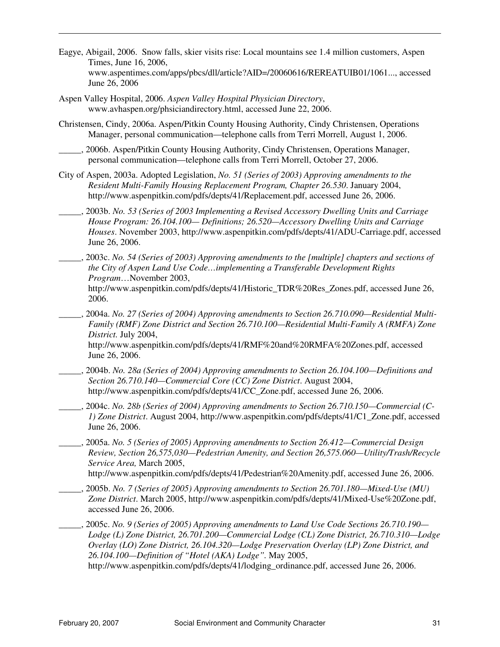- Eagye, Abigail, 2006. Snow falls, skier visits rise: Local mountains see 1.4 million customers, Aspen Times, June 16, 2006, www.aspentimes.com/apps/pbcs/dll/article?AID=/20060616/REREATUIB01/1061..., accessed June 26, 2006
- Aspen Valley Hospital, 2006. *Aspen Valley Hospital Physician Directory*, www.avhaspen.org/phsiciandirectory.html, accessed June 22, 2006.
- Christensen, Cindy, 2006a. Aspen/Pitkin County Housing Authority, Cindy Christensen, Operations Manager, personal communication—telephone calls from Terri Morrell, August 1, 2006.
- \_\_\_\_\_, 2006b. Aspen/Pitkin County Housing Authority, Cindy Christensen, Operations Manager, personal communication—telephone calls from Terri Morrell, October 27, 2006.
- City of Aspen, 2003a. Adopted Legislation, *No. 51 (Series of 2003) Approving amendments to the Resident Multi-Family Housing Replacement Program, Chapter 26.530*. January 2004, http://www.aspenpitkin.com/pdfs/depts/41/Replacement.pdf, accessed June 26, 2006.
- \_\_\_\_\_, 2003b. *No. 53 (Series of 2003 Implementing a Revised Accessory Dwelling Units and Carriage House Program: 26.104.100— Definitions; 26.520—Accessory Dwelling Units and Carriage Houses*. November 2003, http://www.aspenpitkin.com/pdfs/depts/41/ADU-Carriage.pdf, accessed June 26, 2006.
- \_\_\_\_\_, 2003c. *No. 54 (Series of 2003) Approving amendments to the [multiple] chapters and sections of the City of Aspen Land Use Code…implementing a Transferable Development Rights Program*…November 2003, http://www.aspenpitkin.com/pdfs/depts/41/Historic\_TDR%20Res\_Zones.pdf, accessed June 26, 2006.
- \_\_\_\_\_, 2004a. *No. 27 (Series of 2004) Approving amendments to Section 26.710.090—Residential Multi-Family (RMF) Zone District and Section 26.710.100—Residential Multi-Family A (RMFA) Zone District.* July 2004,

http://www.aspenpitkin.com/pdfs/depts/41/RMF%20and%20RMFA%20Zones.pdf, accessed June 26, 2006.

- \_\_\_\_\_, 2004b. *No. 28a (Series of 2004) Approving amendments to Section 26.104.100—Definitions and Section 26.710.140—Commercial Core (CC) Zone District*. August 2004, http://www.aspenpitkin.com/pdfs/depts/41/CC\_Zone.pdf, accessed June 26, 2006.
- \_\_\_\_\_, 2004c. *No. 28b (Series of 2004) Approving amendments to Section 26.710.150—Commercial (C-1) Zone District*. August 2004, http://www.aspenpitkin.com/pdfs/depts/41/C1\_Zone.pdf, accessed June 26, 2006.
- \_\_\_\_\_, 2005a. *No. 5 (Series of 2005) Approving amendments to Section 26.412—Commercial Design Review, Section 26,575,030—Pedestrian Amenity, and Section 26,575.060—Utility/Trash/Recycle Service Area,* March 2005,

http://www.aspenpitkin.com/pdfs/depts/41/Pedestrian%20Amenity.pdf, accessed June 26, 2006.

- \_\_\_\_\_, 2005b. *No. 7 (Series of 2005) Approving amendments to Section 26.701.180—Mixed-Use (MU) Zone District*. March 2005, http://www.aspenpitkin.com/pdfs/depts/41/Mixed-Use%20Zone.pdf, accessed June 26, 2006.
- \_\_\_\_\_, 2005c. *No. 9 (Series of 2005) Approving amendments to Land Use Code Sections 26.710.190— Lodge (L) Zone District, 26.701.200—Commercial Lodge (CL) Zone District, 26.710.310—Lodge Overlay (LO) Zone District, 26.104.320—Lodge Preservation Overlay (LP) Zone District, and 26.104.100—Definition of "Hotel (AKA) Lodge".* May 2005,

http://www.aspenpitkin.com/pdfs/depts/41/lodging\_ordinance.pdf, accessed June 26, 2006.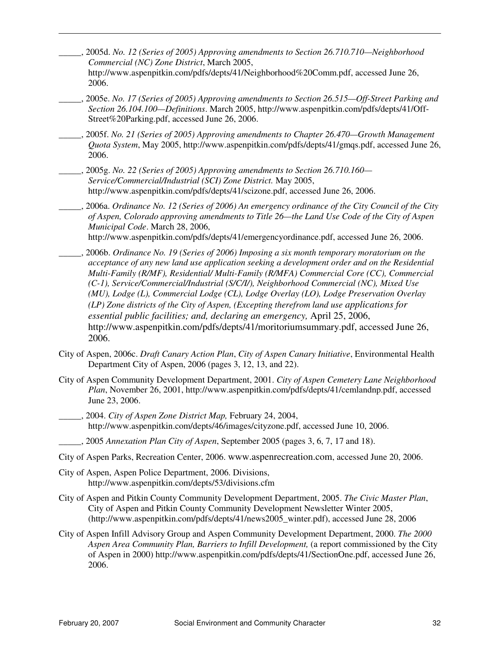- \_\_\_\_\_, 2005d. *No. 12 (Series of 2005) Approving amendments to Section 26.710.710—Neighborhood Commercial (NC) Zone District*, March 2005,
	- http://www.aspenpitkin.com/pdfs/depts/41/Neighborhood%20Comm.pdf, accessed June 26, 2006.
- \_\_\_\_\_, 2005e. *No. 17 (Series of 2005) Approving amendments to Section 26.515—Off-Street Parking and Section 26.104.100—Definitions*. March 2005, http://www.aspenpitkin.com/pdfs/depts/41/Off-Street%20Parking.pdf, accessed June 26, 2006.
- \_\_\_\_\_, 2005f. *No. 21 (Series of 2005) Approving amendments to Chapter 26.470—Growth Management Quota System*, May 2005, http://www.aspenpitkin.com/pdfs/depts/41/gmqs.pdf, accessed June 26, 2006.
- \_\_\_\_\_, 2005g. *No. 22 (Series of 2005) Approving amendments to Section 26.710.160— Service/Commercial/Industrial (SCI) Zone District.* May 2005, http://www.aspenpitkin.com/pdfs/depts/41/scizone.pdf, accessed June 26, 2006.
- \_\_\_\_\_, 2006a. *Ordinance No. 12 (Series of 2006) An emergency ordinance of the City Council of the City of Aspen, Colorado approving amendments to Title 26—the Land Use Code of the City of Aspen Municipal Code*. March 28, 2006, http://www.aspenpitkin.com/pdfs/depts/41/emergencyordinance.pdf, accessed June 26, 2006.
- \_\_\_\_\_, 2006b. *Ordinance No. 19 (Series of 2006) Imposing a six month temporary moratorium on the acceptance of any new land use application seeking a development order and on the Residential Multi-Family (R/MF), Residential/ Multi-Family (R/MFA) Commercial Core (CC), Commercial (C-1), Service/Commercial/Industrial (S/C/I/), Neighborhood Commercial (NC), Mixed Use (MU), Lodge (L), Commercial Lodge (CL), Lodge Overlay (LO), Lodge Preservation Overlay (LP) Zone districts of the City of Aspen, (Excepting therefrom land use applications for essential public facilities; and, declaring an emergency,* April 25, 2006, http://www.aspenpitkin.com/pdfs/depts/41/moritoriumsummary.pdf, accessed June 26, 2006.
- City of Aspen, 2006c. *Draft Canary Action Plan*, *City of Aspen Canary Initiative*, Environmental Health Department City of Aspen, 2006 (pages 3, 12, 13, and 22).
- City of Aspen Community Development Department, 2001. *City of Aspen Cemetery Lane Neighborhood Plan*, November 26, 2001, http://www.aspenpitkin.com/pdfs/depts/41/cemlandnp.pdf, accessed June 23, 2006.
- \_\_\_\_\_, 2004. *City of Aspen Zone District Map,* February 24, 2004, http://www.aspenpitkin.com/depts/46/images/cityzone.pdf, accessed June 10, 2006.
	- \_\_\_\_\_, 2005 *Annexation Plan City of Aspen*, September 2005 (pages 3, 6, 7, 17 and 18).
- City of Aspen Parks, Recreation Center, 2006. www.aspenrecreation.com, accessed June 20, 2006.
- City of Aspen, Aspen Police Department, 2006. Divisions, http://www.aspenpitkin.com/depts/53/divisions.cfm
- City of Aspen and Pitkin County Community Development Department, 2005. *The Civic Master Plan*, City of Aspen and Pitkin County Community Development Newsletter Winter 2005, (http://www.aspenpitkin.com/pdfs/depts/41/news2005\_winter.pdf), accessed June 28, 2006
- City of Aspen Infill Advisory Group and Aspen Community Development Department, 2000. *The 2000 Aspen Area Community Plan, Barriers to Infill Development,* (a report commissioned by the City of Aspen in 2000) http://www.aspenpitkin.com/pdfs/depts/41/SectionOne.pdf, accessed June 26, 2006.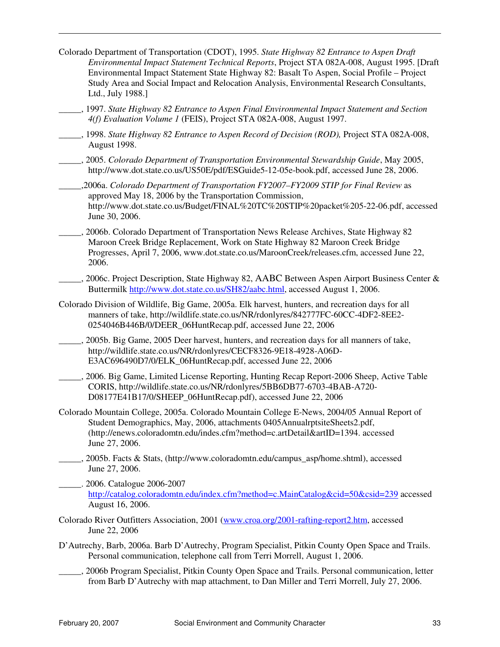- Colorado Department of Transportation (CDOT), 1995. *State Highway 82 Entrance to Aspen Draft Environmental Impact Statement Technical Reports*, Project STA 082A-008, August 1995. [Draft Environmental Impact Statement State Highway 82: Basalt To Aspen, Social Profile – Project Study Area and Social Impact and Relocation Analysis, Environmental Research Consultants, Ltd., July 1988.]
- \_\_\_\_\_, 1997. *State Highway 82 Entrance to Aspen Final Environmental Impact Statement and Section 4(f) Evaluation Volume 1* (FEIS), Project STA 082A-008, August 1997.
- \_\_\_\_\_, 1998. *State Highway 82 Entrance to Aspen Record of Decision (ROD),* Project STA 082A-008, August 1998.
- \_\_\_\_\_, 2005. *Colorado Department of Transportation Environmental Stewardship Guide*, May 2005, http://www.dot.state.co.us/US50E/pdf/ESGuide5-12-05e-book.pdf, accessed June 28, 2006.
- \_\_\_\_\_,2006a. *Colorado Department of Transportation FY2007–FY2009 STIP for Final Review* as approved May 18, 2006 by the Transportation Commission, http://www.dot.state.co.us/Budget/FINAL%20TC%20STIP%20packet%205-22-06.pdf, accessed June 30, 2006.
- \_\_\_\_\_, 2006b. Colorado Department of Transportation News Release Archives, State Highway 82 Maroon Creek Bridge Replacement, Work on State Highway 82 Maroon Creek Bridge Progresses, April 7, 2006, www.dot.state.co.us/MaroonCreek/releases.cfm, accessed June 22, 2006.
- 2006c. Project Description, State Highway 82, AABC Between Aspen Airport Business Center & Buttermilk http://www.dot.state.co.us/SH82/aabc.html, accessed August 1, 2006.
- Colorado Division of Wildlife, Big Game, 2005a. Elk harvest, hunters, and recreation days for all manners of take, http://wildlife.state.co.us/NR/rdonlyres/842777FC-60CC-4DF2-8EE2- 0254046B446B/0/DEER\_06HuntRecap.pdf, accessed June 22, 2006
- \_\_\_\_\_, 2005b. Big Game, 2005 Deer harvest, hunters, and recreation days for all manners of take, http://wildlife.state.co.us/NR/rdonlyres/CECF8326-9E18-4928-A06D-E3AC696490D7/0/ELK\_06HuntRecap.pdf, accessed June 22, 2006
- \_\_\_\_\_, 2006. Big Game, Limited License Reporting, Hunting Recap Report-2006 Sheep, Active Table CORIS, http://wildlife.state.co.us/NR/rdonlyres/5BB6DB77-6703-4BAB-A720- D08177E41B17/0/SHEEP\_06HuntRecap.pdf), accessed June 22, 2006
- Colorado Mountain College, 2005a. Colorado Mountain College E-News, 2004/05 Annual Report of Student Demographics, May, 2006, attachments 0405AnnualrptsiteSheets2.pdf, (http://enews.coloradomtn.edu/indes.cfm?method=c.artDetail&artID=1394. accessed June 27, 2006.
- \_\_\_\_\_, 2005b. Facts & Stats, (http://www.coloradomtn.edu/campus\_asp/home.shtml), accessed June 27, 2006.
- \_\_\_\_\_. 2006. Catalogue 2006-2007 http://catalog.coloradomtn.edu/index.cfm?method=c.MainCatalog&cid=50&csid=239 accessed August 16, 2006.
- Colorado River Outfitters Association, 2001 (www.croa.org/2001-rafting-report2.htm, accessed June 22, 2006
- D'Autrechy, Barb, 2006a. Barb D'Autrechy, Program Specialist, Pitkin County Open Space and Trails. Personal communication, telephone call from Terri Morrell, August 1, 2006.
- \_\_\_\_\_, 2006b Program Specialist, Pitkin County Open Space and Trails. Personal communication, letter from Barb D'Autrechy with map attachment, to Dan Miller and Terri Morrell, July 27, 2006.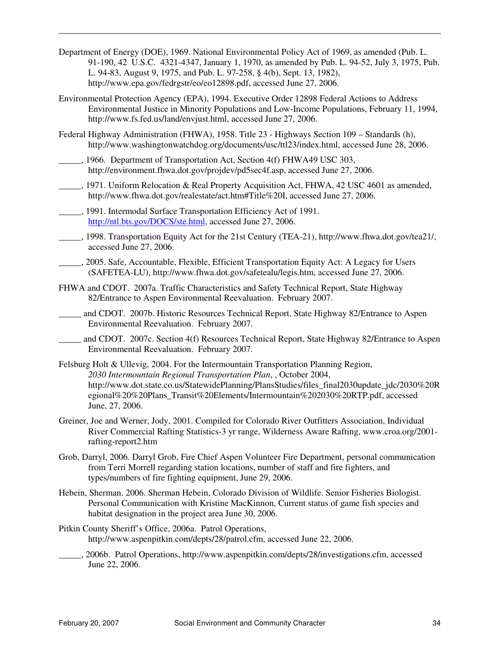- Department of Energy (DOE), 1969. National Environmental Policy Act of 1969, as amended (Pub. L. 91-190, 42 U.S.C. 4321-4347, January 1, 1970, as amended by Pub. L. 94-52, July 3, 1975, Pub. L. 94-83, August 9, 1975, and Pub. L. 97-258, § 4(b), Sept. 13, 1982), http://www.epa.gov/fedrgstr/eo/eo12898.pdf, accessed June 27, 2006.
- Environmental Protection Agency (EPA), 1994. Executive Order 12898 Federal Actions to Address Environmental Justice in Minority Populations and Low-Income Populations, February 11, 1994, http://www.fs.fed.us/land/envjust.html, accessed June 27, 2006.
- Federal Highway Administration (FHWA), 1958. Title 23 Highways Section 109 Standards (h), http://www.washingtonwatchdog.org/documents/usc/ttl23/index.html, accessed June 28, 2006.
- \_\_\_\_\_, 1966. Department of Transportation Act, Section 4(f) FHWA49 USC 303, http://environment.fhwa.dot.gov/projdev/pd5sec4f.asp, accessed June 27, 2006.
- \_\_\_\_\_, 1971. Uniform Relocation & Real Property Acquisition Act, FHWA, 42 USC 4601 as amended, http://www.fhwa.dot.gov/realestate/act.htm#Title%20I, accessed June 27, 2006.
- \_\_\_\_\_, 1991. Intermodal Surface Transportation Efficiency Act of 1991. http://ntl.bts.gov/DOCS/ste.html, accessed June 27, 2006.
- \_\_\_\_\_, 1998. Transportation Equity Act for the 21st Century (TEA-21), http://www.fhwa.dot.gov/tea21/, accessed June 27, 2006.
- \_\_\_\_\_, 2005. Safe, Accountable, Flexible, Efficient Transportation Equity Act: A Legacy for Users (SAFETEA-LU), http://www.fhwa.dot.gov/safetealu/legis.htm, accessed June 27, 2006.
- FHWA and CDOT. 2007a. Traffic Characteristics and Safety Technical Report, State Highway 82/Entrance to Aspen Environmental Reevaluation. February 2007.
- \_\_\_\_\_ and CDOT. 2007b. Historic Resources Technical Report, State Highway 82/Entrance to Aspen Environmental Reevaluation. February 2007.
- \_\_\_\_\_ and CDOT. 2007c. Section 4(f) Resources Technical Report, State Highway 82/Entrance to Aspen Environmental Reevaluation. February 2007.
- Felsburg Holt & Ullevig, 2004. For the Intermountain Transportation Planning Region, *2030 Intermountain Regional Transportation Plan*, , October 2004, http://www.dot.state.co.us/StatewidePlanning/PlansStudies/files\_final2030update\_jdc/2030%20R egional%20%20Plans\_Transit%20Elements/Intermountain%202030%20RTP.pdf, accessed June, 27, 2006.
- Greiner, Joe and Werner, Jody, 2001. Compiled for Colorado River Outfitters Association, Individual River Commercial Rafting Statistics-3 yr range, Wilderness Aware Rafting, www.croa.org/2001 rafting-report2.htm
- Grob, Darryl, 2006. Darryl Grob, Fire Chief Aspen Volunteer Fire Department, personal communication from Terri Morrell regarding station locations, number of staff and fire fighters, and types/numbers of fire fighting equipment, June 29, 2006.
- Hebein, Sherman. 2006. Sherman Hebein, Colorado Division of Wildlife. Senior Fisheries Biologist. Personal Communication with Kristine MacKinnon, Current status of game fish species and habitat designation in the project area June 30, 2006.
- Pitkin County Sheriff's Office, 2006a. Patrol Operations, http://www.aspenpitkin.com/depts/28/patrol.cfm, accessed June 22, 2006.
- \_\_\_\_\_, 2006b. Patrol Operations, http://www.aspenpitkin.com/depts/28/investigations.cfm, accessed June 22, 2006.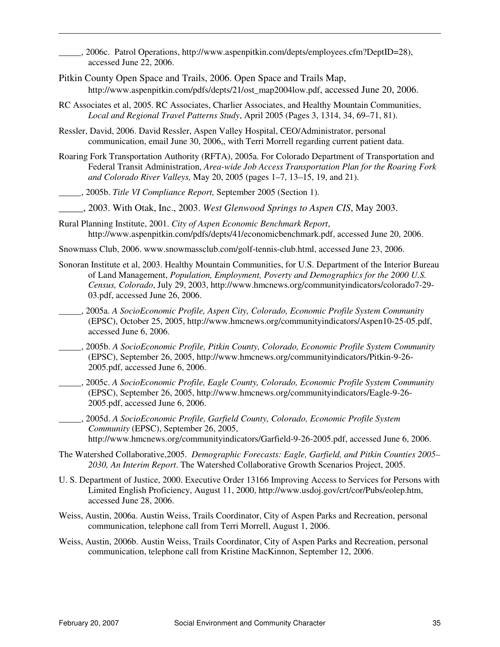\_\_\_\_\_, 2006c. Patrol Operations, http://www.aspenpitkin.com/depts/employees.cfm?DeptID=28), accessed June 22, 2006.

- Pitkin County Open Space and Trails, 2006. Open Space and Trails Map, http://www.aspenpitkin.com/pdfs/depts/21/ost\_map2004low.pdf, accessed June 20, 2006.
- RC Associates et al, 2005. RC Associates, Charlier Associates, and Healthy Mountain Communities, *Local and Regional Travel Patterns Study*, April 2005 (Pages 3, 1314, 34, 69–71, 81).
- Ressler, David, 2006. David Ressler, Aspen Valley Hospital, CEO/Administrator, personal communication, email June 30, 2006,, with Terri Morrell regarding current patient data.
- Roaring Fork Transportation Authority (RFTA), 2005a. For Colorado Department of Transportation and Federal Transit Administration, *Area-wide Job Access Transportation Plan for the Roaring Fork and Colorado River Valleys,* May 20, 2005 (pages 1–7, 13–15, 19, and 21).
- \_\_\_\_\_, 2005b. *Title VI Compliance Report,* September 2005 (Section 1).
- \_\_\_\_\_, 2003. With Otak, Inc., 2003. *West Glenwood Springs to Aspen CIS*, May 2003.
- Rural Planning Institute, 2001. *City of Aspen Economic Benchmark Report*, http://www.aspenpitkin.com/pdfs/depts/41/economicbenchmark.pdf, accessed June 20, 2006.
- Snowmass Club, 2006. www.snowmassclub.com/golf-tennis-club.html, accessed June 23, 2006.
- Sonoran Institute et al, 2003. Healthy Mountain Communities, for U.S. Department of the Interior Bureau of Land Management, *Population, Employment, Poverty and Demographics for the 2000 U.S. Census, Colorado*, July 29, 2003, http://www.hmcnews.org/communityindicators/colorado7-29- 03.pdf, accessed June 26, 2006.
- \_\_\_\_\_, 2005a. *A SocioEconomic Profile, Aspen City, Colorado, Economic Profile System Community* (EPSC), October 25, 2005, http://www.hmcnews.org/communityindicators/Aspen10-25-05.pdf, accessed June 6, 2006.
- \_\_\_\_\_, 2005b. *A SocioEconomic Profile, Pitkin County, Colorado, Economic Profile System Community* (EPSC), September 26, 2005, http://www.hmcnews.org/communityindicators/Pitkin-9-26- 2005.pdf, accessed June 6, 2006.
- \_\_\_\_\_, 2005c. *A SocioEconomic Profile, Eagle County, Colorado, Economic Profile System Community* (EPSC), September 26, 2005, http://www.hmcnews.org/communityindicators/Eagle-9-26- 2005.pdf, accessed June 6, 2006.

\_\_\_\_\_, 2005d. *A SocioEconomic Profile, Garfield County, Colorado, Economic Profile System Community* (EPSC), September 26, 2005, http://www.hmcnews.org/communityindicators/Garfield-9-26-2005.pdf, accessed June 6, 2006.

- The Watershed Collaborative,2005. *Demographic Forecasts: Eagle, Garfield, and Pitkin Counties 2005– 2030, An Interim Report*. The Watershed Collaborative Growth Scenarios Project, 2005.
- U. S. Department of Justice, 2000. Executive Order 13166 Improving Access to Services for Persons with Limited English Proficiency, August 11, 2000, http://www.usdoj.gov/crt/cor/Pubs/eolep.htm, accessed June 28, 2006.
- Weiss, Austin, 2006a. Austin Weiss, Trails Coordinator, City of Aspen Parks and Recreation, personal communication, telephone call from Terri Morrell, August 1, 2006.
- Weiss, Austin, 2006b. Austin Weiss, Trails Coordinator, City of Aspen Parks and Recreation, personal communication, telephone call from Kristine MacKinnon, September 12, 2006.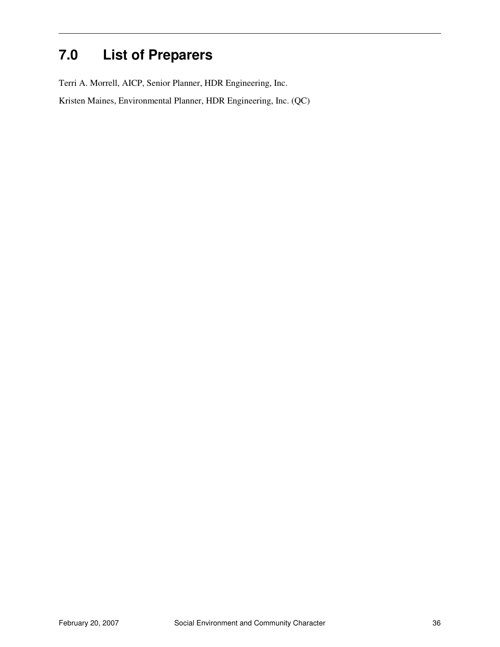# **7.0 List of Preparers**

Terri A. Morrell, AICP, Senior Planner, HDR Engineering, Inc.

Kristen Maines, Environmental Planner, HDR Engineering, Inc. (QC)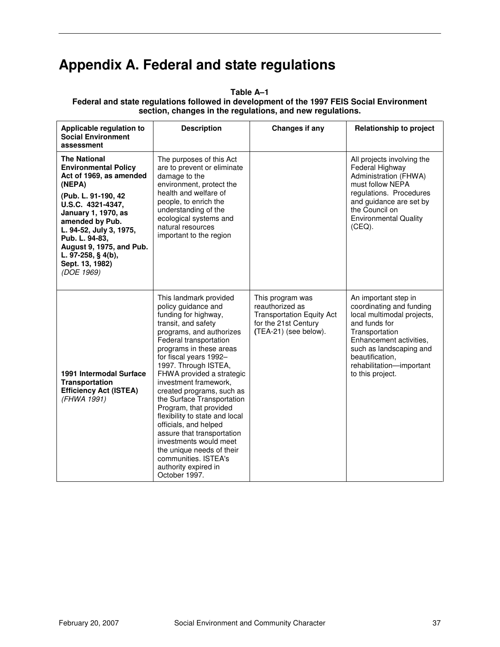# **Appendix A. Federal and state regulations**

| Applicable regulation to<br><b>Social Environment</b><br>assessment                                                                                                                                                                                                                                                  | <b>Description</b>                                                                                                                                                                                                                                                                                                                                                                                                                                                                                                                                                                          | Changes if any                                                                                                           | <b>Relationship to project</b>                                                                                                                                                                                                             |
|----------------------------------------------------------------------------------------------------------------------------------------------------------------------------------------------------------------------------------------------------------------------------------------------------------------------|---------------------------------------------------------------------------------------------------------------------------------------------------------------------------------------------------------------------------------------------------------------------------------------------------------------------------------------------------------------------------------------------------------------------------------------------------------------------------------------------------------------------------------------------------------------------------------------------|--------------------------------------------------------------------------------------------------------------------------|--------------------------------------------------------------------------------------------------------------------------------------------------------------------------------------------------------------------------------------------|
| <b>The National</b><br><b>Environmental Policy</b><br>Act of 1969, as amended<br>(NEPA)<br>(Pub. L. 91-190, 42<br>U.S.C. 4321-4347,<br><b>January 1, 1970, as</b><br>amended by Pub.<br>L. 94-52, July 3, 1975,<br>Pub. L. 94-83,<br>August 9, 1975, and Pub.<br>L. 97-258, § 4(b),<br>Sept. 13, 1982)<br>(DOE 1969) | The purposes of this Act<br>are to prevent or eliminate<br>damage to the<br>environment, protect the<br>health and welfare of<br>people, to enrich the<br>understanding of the<br>ecological systems and<br>natural resources<br>important to the region                                                                                                                                                                                                                                                                                                                                    |                                                                                                                          | All projects involving the<br>Federal Highway<br>Administration (FHWA)<br>must follow NEPA<br>regulations. Procedures<br>and guidance are set by<br>the Council on<br><b>Environmental Quality</b><br>(CEQ).                               |
| 1991 Intermodal Surface<br><b>Transportation</b><br><b>Efficiency Act (ISTEA)</b><br>(FHWA 1991)                                                                                                                                                                                                                     | This landmark provided<br>policy guidance and<br>funding for highway,<br>transit, and safety<br>programs, and authorizes<br>Federal transportation<br>programs in these areas<br>for fiscal years 1992-<br>1997. Through ISTEA,<br>FHWA provided a strategic<br>investment framework,<br>created programs, such as<br>the Surface Transportation<br>Program, that provided<br>flexibility to state and local<br>officials, and helped<br>assure that transportation<br>investments would meet<br>the unique needs of their<br>communities. ISTEA's<br>authority expired in<br>October 1997. | This program was<br>reauthorized as<br><b>Transportation Equity Act</b><br>for the 21st Century<br>(TEA-21) (see below). | An important step in<br>coordinating and funding<br>local multimodal projects,<br>and funds for<br>Transportation<br>Enhancement activities,<br>such as landscaping and<br>beautification,<br>rehabilitation-important<br>to this project. |

**Table A–1 Federal and state regulations followed in development of the 1997 FEIS Social Environment section, changes in the regulations, and new regulations.**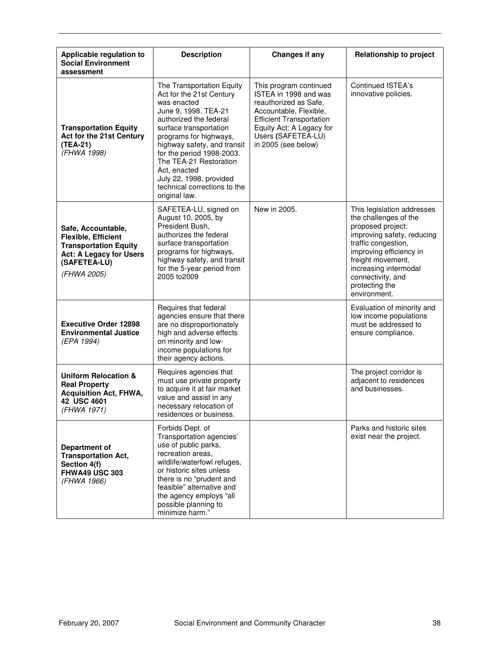| Applicable regulation to<br><b>Social Environment</b><br>assessment                                                                        | <b>Description</b>                                                                                                                                                                                                                                                                                                                                           | <b>Changes if any</b>                                                                                                                                                                                          | <b>Relationship to project</b>                                                                                                                                                                                                                                |
|--------------------------------------------------------------------------------------------------------------------------------------------|--------------------------------------------------------------------------------------------------------------------------------------------------------------------------------------------------------------------------------------------------------------------------------------------------------------------------------------------------------------|----------------------------------------------------------------------------------------------------------------------------------------------------------------------------------------------------------------|---------------------------------------------------------------------------------------------------------------------------------------------------------------------------------------------------------------------------------------------------------------|
| <b>Transportation Equity</b><br>Act for the 21st Century<br>(TEA-21)<br>(FHWA 1998)                                                        | The Transportation Equity<br>Act for the 21st Century<br>was enacted<br>June 9, 1998. TEA-21<br>authorized the federal<br>surface transportation<br>programs for highways,<br>highway safety, and transit<br>for the period 1998-2003.<br>The TEA-21 Restoration<br>Act, enacted<br>July 22, 1998, provided<br>technical corrections to the<br>original law. | This program continued<br>ISTEA in 1998 and was<br>reauthorized as Safe,<br>Accountable, Flexible,<br><b>Efficient Transportation</b><br>Equity Act: A Legacy for<br>Users (SAFETEA-LU)<br>in 2005 (see below) | Continued ISTEA's<br>innovative policies.                                                                                                                                                                                                                     |
| Safe, Accountable,<br>Flexible, Efficient<br><b>Transportation Equity</b><br><b>Act: A Legacy for Users</b><br>(SAFETEA-LU)<br>(FHWA 2005) | SAFETEA-LU, signed on<br>August 10, 2005, by<br>President Bush,<br>authorizes the federal<br>surface transportation<br>programs for highways,<br>highway safety, and transit<br>for the 5-year period from<br>2005 to 2009                                                                                                                                   | New in 2005.                                                                                                                                                                                                   | This legislation addresses<br>the challenges of the<br>proposed project:<br>improving safety, reducing<br>traffic congestion,<br>improving efficiency in<br>freight movement,<br>increasing intermodal<br>connectivity, and<br>protecting the<br>environment. |
| <b>Executive Order 12898</b><br><b>Environmental Justice</b><br>(EPA 1994)                                                                 | Requires that federal<br>agencies ensure that there<br>are no disproportionately<br>high and adverse effects<br>on minority and low-<br>income populations for<br>their agency actions.                                                                                                                                                                      |                                                                                                                                                                                                                | Evaluation of minority and<br>low income populations<br>must be addressed to<br>ensure compliance.                                                                                                                                                            |
| <b>Uniform Relocation &amp;</b><br><b>Real Property</b><br><b>Acquisition Act, FHWA,</b><br>42 USC 4601<br>(FHWA 1971)                     | Requires agencies that<br>must use private property<br>to acquire it at fair market<br>value and assist in any<br>necessary relocation of<br>residences or business.                                                                                                                                                                                         |                                                                                                                                                                                                                | The project corridor is<br>adjacent to residences<br>and businesses.                                                                                                                                                                                          |
| <b>Department of</b><br><b>Transportation Act,</b><br>Section 4(f)<br><b>FHWA49 USC 303</b><br>(FHWA 1966)                                 | Forbids Dept. of<br>Transportation agencies'<br>use of public parks,<br>recreation areas,<br>wildlife/waterfowl refuges,<br>or historic sites unless<br>there is no "prudent and<br>feasible" alternative and<br>the agency employs "all<br>possible planning to<br>minimize harm."                                                                          |                                                                                                                                                                                                                | Parks and historic sites<br>exist near the project.                                                                                                                                                                                                           |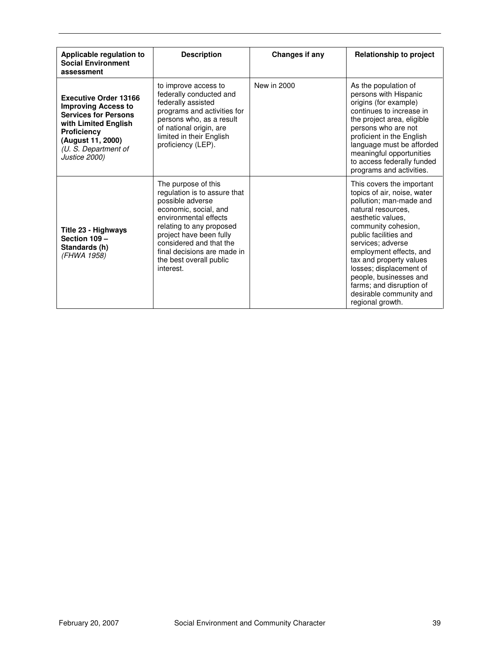| Applicable regulation to<br><b>Social Environment</b><br>assessment                                                                                                                                   | <b>Description</b>                                                                                                                                                                                                                                                                 | Changes if any | <b>Relationship to project</b>                                                                                                                                                                                                                                                                                                                                                            |
|-------------------------------------------------------------------------------------------------------------------------------------------------------------------------------------------------------|------------------------------------------------------------------------------------------------------------------------------------------------------------------------------------------------------------------------------------------------------------------------------------|----------------|-------------------------------------------------------------------------------------------------------------------------------------------------------------------------------------------------------------------------------------------------------------------------------------------------------------------------------------------------------------------------------------------|
| <b>Executive Order 13166</b><br><b>Improving Access to</b><br><b>Services for Persons</b><br>with Limited English<br><b>Proficiency</b><br>(August 11, 2000)<br>(U. S. Department of<br>Justice 2000) | to improve access to<br>federally conducted and<br>federally assisted<br>programs and activities for<br>persons who, as a result<br>of national origin, are<br>limited in their English<br>proficiency (LEP).                                                                      | New in 2000    | As the population of<br>persons with Hispanic<br>origins (for example)<br>continues to increase in<br>the project area, eligible<br>persons who are not<br>proficient in the English<br>language must be afforded<br>meaningful opportunities<br>to access federally funded<br>programs and activities.                                                                                   |
| Title 23 - Highways<br>Section 109 -<br>Standards (h)<br>(FHWA 1958)                                                                                                                                  | The purpose of this<br>regulation is to assure that<br>possible adverse<br>economic, social, and<br>environmental effects<br>relating to any proposed<br>project have been fully<br>considered and that the<br>final decisions are made in<br>the best overall public<br>interest. |                | This covers the important<br>topics of air, noise, water<br>pollution; man-made and<br>natural resources.<br>aesthetic values.<br>community cohesion,<br>public facilities and<br>services: adverse<br>employment effects, and<br>tax and property values<br>losses; displacement of<br>people, businesses and<br>farms; and disruption of<br>desirable community and<br>regional growth. |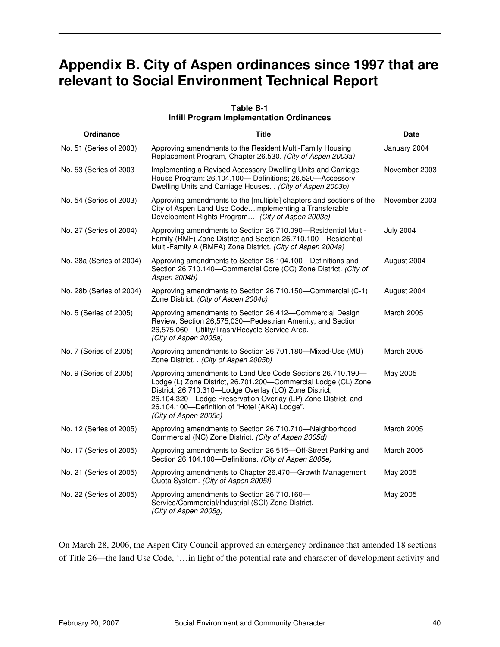# **Appendix B. City of Aspen ordinances since 1997 that are relevant to Social Environment Technical Report**

#### **Table B-1 Infill Program Implementation Ordinances**

| Ordinance                | <b>Title</b>                                                                                                                                                                                                                                                                                                                      | <b>Date</b>       |
|--------------------------|-----------------------------------------------------------------------------------------------------------------------------------------------------------------------------------------------------------------------------------------------------------------------------------------------------------------------------------|-------------------|
| No. 51 (Series of 2003)  | Approving amendments to the Resident Multi-Family Housing<br>Replacement Program, Chapter 26.530. (City of Aspen 2003a)                                                                                                                                                                                                           | January 2004      |
| No. 53 (Series of 2003)  | Implementing a Revised Accessory Dwelling Units and Carriage<br>House Program: 26.104.100- Definitions; 26.520-Accessory<br>Dwelling Units and Carriage Houses. . (City of Aspen 2003b)                                                                                                                                           | November 2003     |
| No. 54 (Series of 2003)  | Approving amendments to the [multiple] chapters and sections of the<br>City of Aspen Land Use Codeimplementing a Transferable<br>Development Rights Program (City of Aspen 2003c)                                                                                                                                                 | November 2003     |
| No. 27 (Series of 2004)  | Approving amendments to Section 26.710.090-Residential Multi-<br>Family (RMF) Zone District and Section 26.710.100-Residential<br>Multi-Family A (RMFA) Zone District. (City of Aspen 2004a)                                                                                                                                      | <b>July 2004</b>  |
| No. 28a (Series of 2004) | Approving amendments to Section 26.104.100-Definitions and<br>Section 26.710.140-Commercial Core (CC) Zone District. (City of<br>Aspen 2004b)                                                                                                                                                                                     | August 2004       |
| No. 28b (Series of 2004) | Approving amendments to Section 26.710.150-Commercial (C-1)<br>Zone District. (City of Aspen 2004c)                                                                                                                                                                                                                               | August 2004       |
| No. 5 (Series of 2005)   | Approving amendments to Section 26.412-Commercial Design<br>Review, Section 26,575,030-Pedestrian Amenity, and Section<br>26,575.060-Utility/Trash/Recycle Service Area.<br>(City of Aspen 2005a)                                                                                                                                 | <b>March 2005</b> |
| No. 7 (Series of 2005)   | Approving amendments to Section 26.701.180—Mixed-Use (MU)<br>Zone District. . (City of Aspen 2005b)                                                                                                                                                                                                                               | March 2005        |
| No. 9 (Series of 2005)   | Approving amendments to Land Use Code Sections 26.710.190-<br>Lodge (L) Zone District, 26.701.200-Commercial Lodge (CL) Zone<br>District, 26.710.310-Lodge Overlay (LO) Zone District,<br>26.104.320-Lodge Preservation Overlay (LP) Zone District, and<br>26.104.100-Definition of "Hotel (AKA) Lodge".<br>(City of Aspen 2005c) | May 2005          |
| No. 12 (Series of 2005)  | Approving amendments to Section 26.710.710-Neighborhood<br>Commercial (NC) Zone District. (City of Aspen 2005d)                                                                                                                                                                                                                   | March 2005        |
| No. 17 (Series of 2005)  | Approving amendments to Section 26.515-Off-Street Parking and<br>Section 26.104.100—Definitions. (City of Aspen 2005e)                                                                                                                                                                                                            | <b>March 2005</b> |
| No. 21 (Series of 2005)  | Approving amendments to Chapter 26.470—Growth Management<br>Quota System. (City of Aspen 2005f)                                                                                                                                                                                                                                   | May 2005          |
| No. 22 (Series of 2005)  | Approving amendments to Section 26.710.160-<br>Service/Commercial/Industrial (SCI) Zone District.<br>(City of Aspen 2005g)                                                                                                                                                                                                        | May 2005          |

On March 28, 2006, the Aspen City Council approved an emergency ordinance that amended 18 sections of Title 26—the land Use Code, '…in light of the potential rate and character of development activity and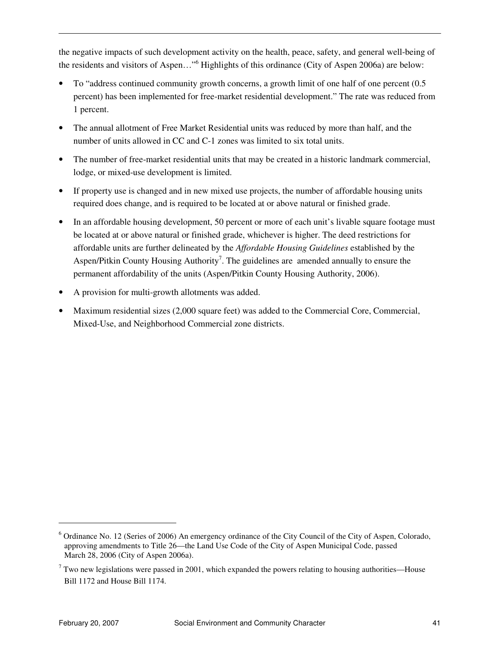the negative impacts of such development activity on the health, peace, safety, and general well-being of the residents and visitors of Aspen..."<sup>6</sup> Highlights of this ordinance (City of Aspen 2006a) are below:

- To "address continued community growth concerns, a growth limit of one half of one percent (0.5 percent) has been implemented for free-market residential development." The rate was reduced from 1 percent.
- The annual allotment of Free Market Residential units was reduced by more than half, and the number of units allowed in CC and C-1 zones was limited to six total units.
- The number of free-market residential units that may be created in a historic landmark commercial, lodge, or mixed-use development is limited.
- If property use is changed and in new mixed use projects, the number of affordable housing units required does change, and is required to be located at or above natural or finished grade.
- In an affordable housing development, 50 percent or more of each unit's livable square footage must be located at or above natural or finished grade, whichever is higher. The deed restrictions for affordable units are further delineated by the *Affordable Housing Guidelines* established by the Aspen/Pitkin County Housing Authority<sup>7</sup>. The guidelines are amended annually to ensure the permanent affordability of the units (Aspen/Pitkin County Housing Authority, 2006).
- A provision for multi-growth allotments was added.
- Maximum residential sizes (2,000 square feet) was added to the Commercial Core, Commercial, Mixed-Use, and Neighborhood Commercial zone districts.

 $\overline{a}$ 

<sup>&</sup>lt;sup>6</sup> Ordinance No. 12 (Series of 2006) An emergency ordinance of the City Council of the City of Aspen, Colorado, approving amendments to Title 26—the Land Use Code of the City of Aspen Municipal Code, passed March 28, 2006 (City of Aspen 2006a).

 $7$  Two new legislations were passed in 2001, which expanded the powers relating to housing authorities—House Bill 1172 and House Bill 1174.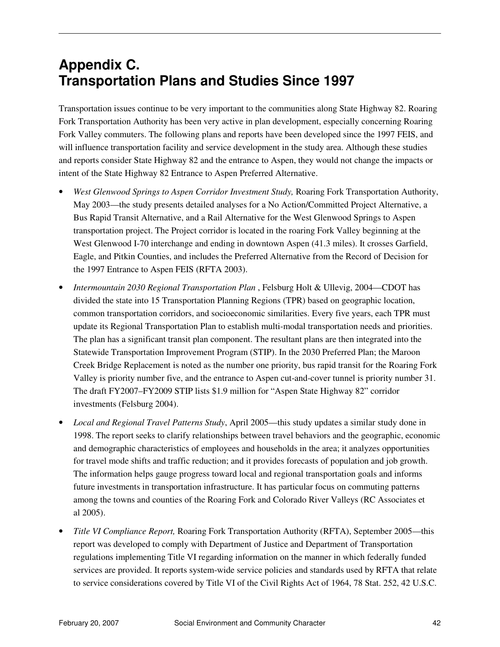# **Appendix C. Transportation Plans and Studies Since 1997**

Transportation issues continue to be very important to the communities along State Highway 82. Roaring Fork Transportation Authority has been very active in plan development, especially concerning Roaring Fork Valley commuters. The following plans and reports have been developed since the 1997 FEIS, and will influence transportation facility and service development in the study area. Although these studies and reports consider State Highway 82 and the entrance to Aspen, they would not change the impacts or intent of the State Highway 82 Entrance to Aspen Preferred Alternative.

- *West Glenwood Springs to Aspen Corridor Investment Study,* Roaring Fork Transportation Authority, May 2003—the study presents detailed analyses for a No Action/Committed Project Alternative, a Bus Rapid Transit Alternative, and a Rail Alternative for the West Glenwood Springs to Aspen transportation project. The Project corridor is located in the roaring Fork Valley beginning at the West Glenwood I-70 interchange and ending in downtown Aspen (41.3 miles). It crosses Garfield, Eagle, and Pitkin Counties, and includes the Preferred Alternative from the Record of Decision for the 1997 Entrance to Aspen FEIS (RFTA 2003).
- *Intermountain 2030 Regional Transportation Plan* , Felsburg Holt & Ullevig, 2004—CDOT has divided the state into 15 Transportation Planning Regions (TPR) based on geographic location, common transportation corridors, and socioeconomic similarities. Every five years, each TPR must update its Regional Transportation Plan to establish multi-modal transportation needs and priorities. The plan has a significant transit plan component. The resultant plans are then integrated into the Statewide Transportation Improvement Program (STIP). In the 2030 Preferred Plan; the Maroon Creek Bridge Replacement is noted as the number one priority, bus rapid transit for the Roaring Fork Valley is priority number five, and the entrance to Aspen cut-and-cover tunnel is priority number 31. The draft FY2007–FY2009 STIP lists \$1.9 million for "Aspen State Highway 82" corridor investments (Felsburg 2004).
- *Local and Regional Travel Patterns Study*, April 2005—this study updates a similar study done in 1998. The report seeks to clarify relationships between travel behaviors and the geographic, economic and demographic characteristics of employees and households in the area; it analyzes opportunities for travel mode shifts and traffic reduction; and it provides forecasts of population and job growth. The information helps gauge progress toward local and regional transportation goals and informs future investments in transportation infrastructure. It has particular focus on commuting patterns among the towns and counties of the Roaring Fork and Colorado River Valleys (RC Associates et al 2005).
- *Title VI Compliance Report,* Roaring Fork Transportation Authority (RFTA), September 2005—this report was developed to comply with Department of Justice and Department of Transportation regulations implementing Title VI regarding information on the manner in which federally funded services are provided. It reports system-wide service policies and standards used by RFTA that relate to service considerations covered by Title VI of the Civil Rights Act of 1964, 78 Stat. 252, 42 U.S.C.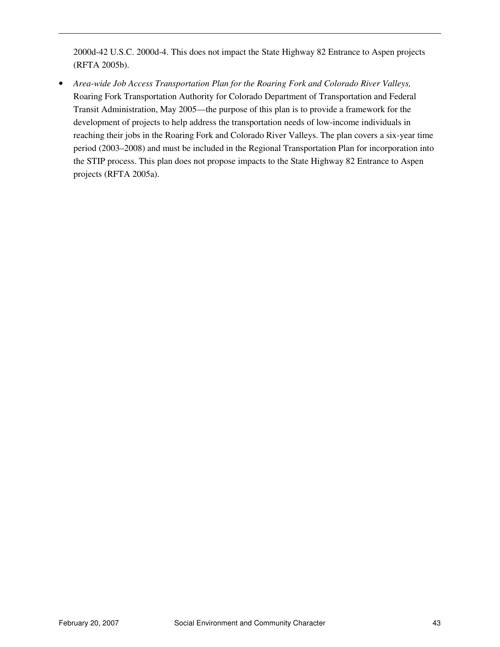2000d-42 U.S.C. 2000d-4. This does not impact the State Highway 82 Entrance to Aspen projects (RFTA 2005b).

• *Area-wide Job Access Transportation Plan for the Roaring Fork and Colorado River Valleys,*  Roaring Fork Transportation Authority for Colorado Department of Transportation and Federal Transit Administration, May 2005—the purpose of this plan is to provide a framework for the development of projects to help address the transportation needs of low-income individuals in reaching their jobs in the Roaring Fork and Colorado River Valleys. The plan covers a six-year time period (2003–2008) and must be included in the Regional Transportation Plan for incorporation into the STIP process. This plan does not propose impacts to the State Highway 82 Entrance to Aspen projects (RFTA 2005a).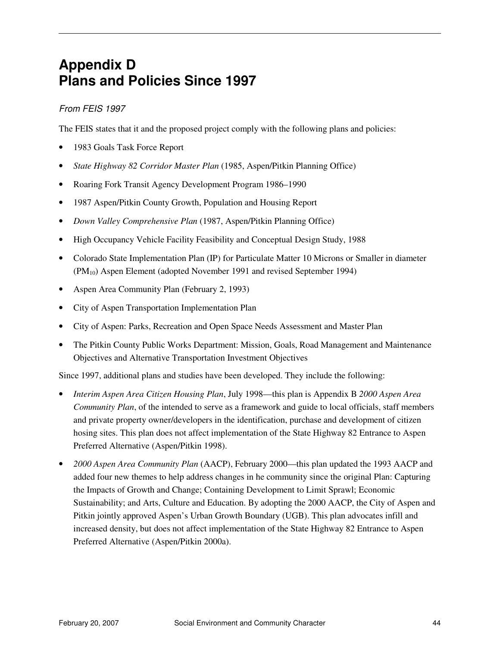# **Appendix D Plans and Policies Since 1997**

#### From FEIS 1997

The FEIS states that it and the proposed project comply with the following plans and policies:

- 1983 Goals Task Force Report
- *State Highway 82 Corridor Master Plan* (1985, Aspen/Pitkin Planning Office)
- Roaring Fork Transit Agency Development Program 1986–1990
- 1987 Aspen/Pitkin County Growth, Population and Housing Report
- *Down Valley Comprehensive Plan* (1987, Aspen/Pitkin Planning Office)
- High Occupancy Vehicle Facility Feasibility and Conceptual Design Study, 1988
- Colorado State Implementation Plan (IP) for Particulate Matter 10 Microns or Smaller in diameter (PM10) Aspen Element (adopted November 1991 and revised September 1994)
- Aspen Area Community Plan (February 2, 1993)
- City of Aspen Transportation Implementation Plan
- City of Aspen: Parks, Recreation and Open Space Needs Assessment and Master Plan
- The Pitkin County Public Works Department: Mission, Goals, Road Management and Maintenance Objectives and Alternative Transportation Investment Objectives

Since 1997, additional plans and studies have been developed. They include the following:

- *Interim Aspen Area Citizen Housing Plan*, July 1998—this plan is Appendix B *2000 Aspen Area Community Plan*, of the intended to serve as a framework and guide to local officials, staff members and private property owner/developers in the identification, purchase and development of citizen hosing sites. This plan does not affect implementation of the State Highway 82 Entrance to Aspen Preferred Alternative (Aspen/Pitkin 1998).
- *2000 Aspen Area Community Plan* (AACP), February 2000—this plan updated the 1993 AACP and added four new themes to help address changes in he community since the original Plan: Capturing the Impacts of Growth and Change; Containing Development to Limit Sprawl; Economic Sustainability; and Arts, Culture and Education. By adopting the 2000 AACP, the City of Aspen and Pitkin jointly approved Aspen's Urban Growth Boundary (UGB). This plan advocates infill and increased density, but does not affect implementation of the State Highway 82 Entrance to Aspen Preferred Alternative (Aspen/Pitkin 2000a).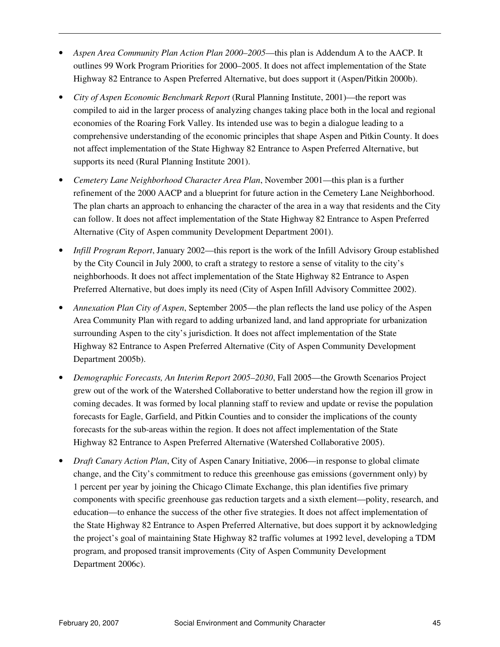- *Aspen Area Community Plan Action Plan 2000–2005*—this plan is Addendum A to the AACP. It outlines 99 Work Program Priorities for 2000–2005. It does not affect implementation of the State Highway 82 Entrance to Aspen Preferred Alternative, but does support it (Aspen/Pitkin 2000b).
- *City of Aspen Economic Benchmark Report* (Rural Planning Institute, 2001)—the report was compiled to aid in the larger process of analyzing changes taking place both in the local and regional economies of the Roaring Fork Valley. Its intended use was to begin a dialogue leading to a comprehensive understanding of the economic principles that shape Aspen and Pitkin County. It does not affect implementation of the State Highway 82 Entrance to Aspen Preferred Alternative, but supports its need (Rural Planning Institute 2001).
- *Cemetery Lane Neighborhood Character Area Plan*, November 2001—this plan is a further refinement of the 2000 AACP and a blueprint for future action in the Cemetery Lane Neighborhood. The plan charts an approach to enhancing the character of the area in a way that residents and the City can follow. It does not affect implementation of the State Highway 82 Entrance to Aspen Preferred Alternative (City of Aspen community Development Department 2001).
- *Infill Program Report*, January 2002—this report is the work of the Infill Advisory Group established by the City Council in July 2000, to craft a strategy to restore a sense of vitality to the city's neighborhoods. It does not affect implementation of the State Highway 82 Entrance to Aspen Preferred Alternative, but does imply its need (City of Aspen Infill Advisory Committee 2002).
- *Annexation Plan City of Aspen*, September 2005—the plan reflects the land use policy of the Aspen Area Community Plan with regard to adding urbanized land, and land appropriate for urbanization surrounding Aspen to the city's jurisdiction. It does not affect implementation of the State Highway 82 Entrance to Aspen Preferred Alternative (City of Aspen Community Development Department 2005b).
- *Demographic Forecasts, An Interim Report 2005–2030*, Fall 2005—the Growth Scenarios Project grew out of the work of the Watershed Collaborative to better understand how the region ill grow in coming decades. It was formed by local planning staff to review and update or revise the population forecasts for Eagle, Garfield, and Pitkin Counties and to consider the implications of the county forecasts for the sub-areas within the region. It does not affect implementation of the State Highway 82 Entrance to Aspen Preferred Alternative (Watershed Collaborative 2005).
- *Draft Canary Action Plan*, City of Aspen Canary Initiative, 2006—in response to global climate change, and the City's commitment to reduce this greenhouse gas emissions (government only) by 1 percent per year by joining the Chicago Climate Exchange, this plan identifies five primary components with specific greenhouse gas reduction targets and a sixth element—polity, research, and education—to enhance the success of the other five strategies. It does not affect implementation of the State Highway 82 Entrance to Aspen Preferred Alternative, but does support it by acknowledging the project's goal of maintaining State Highway 82 traffic volumes at 1992 level, developing a TDM program, and proposed transit improvements (City of Aspen Community Development Department 2006c).